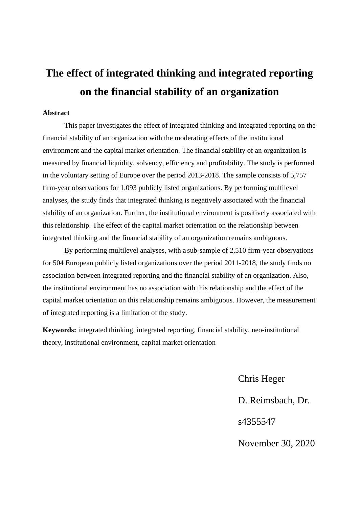# **The effect of integrated thinking and integrated reporting on the financial stability of an organization**

#### **Abstract**

This paper investigates the effect of integrated thinking and integrated reporting on the financial stability of an organization with the moderating effects of the institutional environment and the capital market orientation. The financial stability of an organization is measured by financial liquidity, solvency, efficiency and profitability. The study is performed in the voluntary setting of Europe over the period 2013-2018. The sample consists of 5,757 firm-year observations for 1,093 publicly listed organizations. By performing multilevel analyses, the study finds that integrated thinking is negatively associated with the financial stability of an organization. Further, the institutional environment is positively associated with this relationship. The effect of the capital market orientation on the relationship between integrated thinking and the financial stability of an organization remains ambiguous.

By performing multilevel analyses, with a sub-sample of 2,510 firm-year observations for 504 European publicly listed organizations over the period 2011-2018, the study finds no association between integrated reporting and the financial stability of an organization. Also, the institutional environment has no association with this relationship and the effect of the capital market orientation on this relationship remains ambiguous. However, the measurement of integrated reporting is a limitation of the study.

**Keywords:** integrated thinking, integrated reporting, financial stability, neo-institutional theory, institutional environment, capital market orientation

> Chris Heger D. Reimsbach, Dr. s4355547 November 30, 2020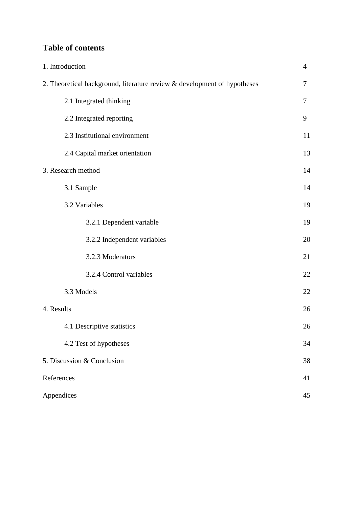# **Table of contents**

| 1. Introduction                                                          | $\overline{4}$ |
|--------------------------------------------------------------------------|----------------|
| 2. Theoretical background, literature review & development of hypotheses | 7              |
| 2.1 Integrated thinking                                                  | 7              |
| 2.2 Integrated reporting                                                 | 9              |
| 2.3 Institutional environment                                            | 11             |
| 2.4 Capital market orientation                                           | 13             |
| 3. Research method                                                       | 14             |
| 3.1 Sample                                                               | 14             |
| 3.2 Variables                                                            | 19             |
| 3.2.1 Dependent variable                                                 | 19             |
| 3.2.2 Independent variables                                              | 20             |
| 3.2.3 Moderators                                                         | 21             |
| 3.2.4 Control variables                                                  | 22             |
| 3.3 Models                                                               | 22             |
| 4. Results                                                               | 26             |
| 4.1 Descriptive statistics                                               | 26             |
| 4.2 Test of hypotheses                                                   | 34             |
| 5. Discussion & Conclusion                                               | 38             |
| References                                                               | 41             |
| Appendices                                                               | 45             |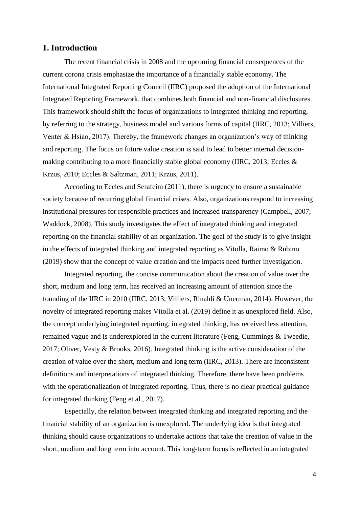#### **1. Introduction**

The recent financial crisis in 2008 and the upcoming financial consequences of the current corona crisis emphasize the importance of a financially stable economy. The International Integrated Reporting Council (IIRC) proposed the adoption of the International Integrated Reporting Framework, that combines both financial and non-financial disclosures. This framework should shift the focus of organizations to integrated thinking and reporting, by referring to the strategy, business model and various forms of capital (IIRC, 2013; Villiers, Venter & Hsiao, 2017). Thereby, the framework changes an organization's way of thinking and reporting. The focus on future value creation is said to lead to better internal decisionmaking contributing to a more financially stable global economy (IIRC, 2013; Eccles & Krzus, 2010; Eccles & Saltzman, 2011; Krzus, 2011).

According to Eccles and Serafeim (2011), there is urgency to ensure a sustainable society because of recurring global financial crises. Also, organizations respond to increasing institutional pressures for responsible practices and increased transparency (Campbell, 2007; Waddock, 2008). This study investigates the effect of integrated thinking and integrated reporting on the financial stability of an organization. The goal of the study is to give insight in the effects of integrated thinking and integrated reporting as Vitolla, Raimo & Rubino (2019) show that the concept of value creation and the impacts need further investigation.

Integrated reporting, the concise communication about the creation of value over the short, medium and long term, has received an increasing amount of attention since the founding of the IIRC in 2010 (IIRC, 2013; Villiers, Rinaldi & Unerman, 2014). However, the novelty of integrated reporting makes Vitolla et al. (2019) define it as unexplored field. Also, the concept underlying integrated reporting, integrated thinking, has received less attention, remained vague and is underexplored in the current literature (Feng, Cummings & Tweedie, 2017; Oliver, Vesty & Brooks, 2016)*.* Integrated thinking is the active consideration of the creation of value over the short, medium and long term (IIRC, 2013). There are inconsistent definitions and interpretations of integrated thinking. Therefore, there have been problems with the operationalization of integrated reporting. Thus, there is no clear practical guidance for integrated thinking (Feng et al., 2017).

Especially, the relation between integrated thinking and integrated reporting and the financial stability of an organization is unexplored. The underlying idea is that integrated thinking should cause organizations to undertake actions that take the creation of value in the short, medium and long term into account. This long-term focus is reflected in an integrated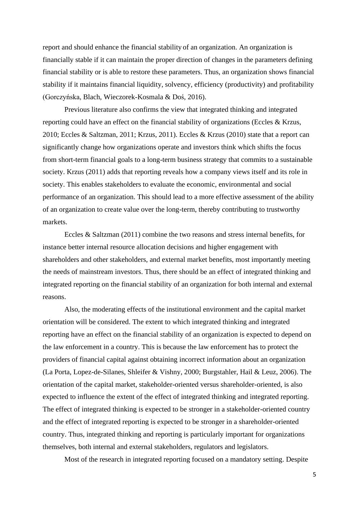report and should enhance the financial stability of an organization. An organization is financially stable if it can maintain the proper direction of changes in the parameters defining financial stability or is able to restore these parameters. Thus, an organization shows financial stability if it maintains financial liquidity, solvency, efficiency (productivity) and profitability (Gorczyńska, Blach, Wieczorek-Kosmala & Doś, 2016).

Previous literature also confirms the view that integrated thinking and integrated reporting could have an effect on the financial stability of organizations (Eccles & Krzus, 2010; Eccles & Saltzman, 2011; Krzus, 2011). Eccles & Krzus (2010) state that a report can significantly change how organizations operate and investors think which shifts the focus from short-term financial goals to a long-term business strategy that commits to a sustainable society. Krzus (2011) adds that reporting reveals how a company views itself and its role in society. This enables stakeholders to evaluate the economic, environmental and social performance of an organization. This should lead to a more effective assessment of the ability of an organization to create value over the long-term, thereby contributing to trustworthy markets.

Eccles & Saltzman (2011) combine the two reasons and stress internal benefits, for instance better internal resource allocation decisions and higher engagement with shareholders and other stakeholders, and external market benefits, most importantly meeting the needs of mainstream investors. Thus, there should be an effect of integrated thinking and integrated reporting on the financial stability of an organization for both internal and external reasons.

Also, the moderating effects of the institutional environment and the capital market orientation will be considered. The extent to which integrated thinking and integrated reporting have an effect on the financial stability of an organization is expected to depend on the law enforcement in a country. This is because the law enforcement has to protect the providers of financial capital against obtaining incorrect information about an organization (La Porta, Lopez-de-Silanes, Shleifer & Vishny, 2000; Burgstahler, Hail & Leuz, 2006). The orientation of the capital market, stakeholder-oriented versus shareholder-oriented, is also expected to influence the extent of the effect of integrated thinking and integrated reporting. The effect of integrated thinking is expected to be stronger in a stakeholder-oriented country and the effect of integrated reporting is expected to be stronger in a shareholder-oriented country. Thus, integrated thinking and reporting is particularly important for organizations themselves, both internal and external stakeholders, regulators and legislators.

Most of the research in integrated reporting focused on a mandatory setting. Despite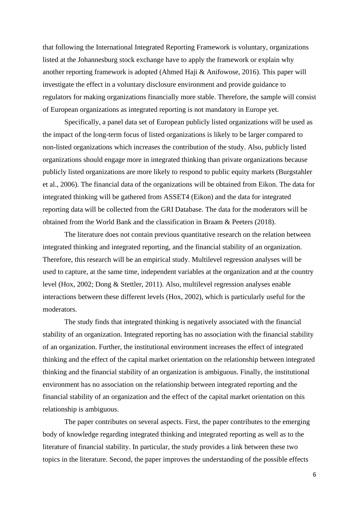that following the International Integrated Reporting Framework is voluntary, organizations listed at the Johannesburg stock exchange have to apply the framework or explain why another reporting framework is adopted (Ahmed Haji & Anifowose, 2016). This paper will investigate the effect in a voluntary disclosure environment and provide guidance to regulators for making organizations financially more stable. Therefore, the sample will consist of European organizations as integrated reporting is not mandatory in Europe yet.

Specifically, a panel data set of European publicly listed organizations will be used as the impact of the long-term focus of listed organizations is likely to be larger compared to non-listed organizations which increases the contribution of the study. Also, publicly listed organizations should engage more in integrated thinking than private organizations because publicly listed organizations are more likely to respond to public equity markets (Burgstahler et al., 2006). The financial data of the organizations will be obtained from Eikon. The data for integrated thinking will be gathered from ASSET4 (Eikon) and the data for integrated reporting data will be collected from the GRI Database. The data for the moderators will be obtained from the World Bank and the classification in Braam & Peeters (2018).

The literature does not contain previous quantitative research on the relation between integrated thinking and integrated reporting, and the financial stability of an organization. Therefore, this research will be an empirical study. Multilevel regression analyses will be used to capture, at the same time, independent variables at the organization and at the country level (Hox, 2002; Dong & Stettler, 2011). Also, multilevel regression analyses enable interactions between these different levels (Hox, 2002), which is particularly useful for the moderators.

The study finds that integrated thinking is negatively associated with the financial stability of an organization. Integrated reporting has no association with the financial stability of an organization. Further, the institutional environment increases the effect of integrated thinking and the effect of the capital market orientation on the relationship between integrated thinking and the financial stability of an organization is ambiguous. Finally, the institutional environment has no association on the relationship between integrated reporting and the financial stability of an organization and the effect of the capital market orientation on this relationship is ambiguous.

The paper contributes on several aspects. First, the paper contributes to the emerging body of knowledge regarding integrated thinking and integrated reporting as well as to the literature of financial stability. In particular, the study provides a link between these two topics in the literature. Second, the paper improves the understanding of the possible effects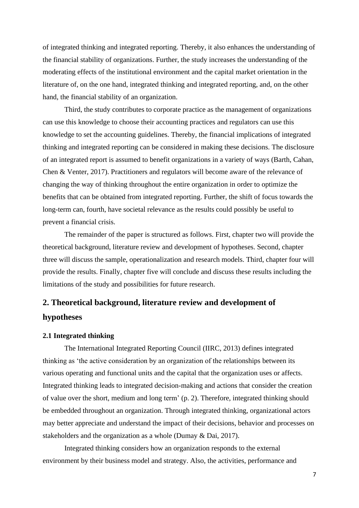of integrated thinking and integrated reporting. Thereby, it also enhances the understanding of the financial stability of organizations. Further, the study increases the understanding of the moderating effects of the institutional environment and the capital market orientation in the literature of, on the one hand, integrated thinking and integrated reporting, and, on the other hand, the financial stability of an organization.

Third, the study contributes to corporate practice as the management of organizations can use this knowledge to choose their accounting practices and regulators can use this knowledge to set the accounting guidelines. Thereby, the financial implications of integrated thinking and integrated reporting can be considered in making these decisions. The disclosure of an integrated report is assumed to benefit organizations in a variety of ways (Barth, Cahan, Chen & Venter, 2017). Practitioners and regulators will become aware of the relevance of changing the way of thinking throughout the entire organization in order to optimize the benefits that can be obtained from integrated reporting. Further, the shift of focus towards the long-term can*,* fourth, have societal relevance as the results could possibly be useful to prevent a financial crisis.

The remainder of the paper is structured as follows. First, chapter two will provide the theoretical background, literature review and development of hypotheses. Second, chapter three will discuss the sample, operationalization and research models. Third, chapter four will provide the results. Finally, chapter five will conclude and discuss these results including the limitations of the study and possibilities for future research.

# **2. Theoretical background, literature review and development of hypotheses**

#### **2.1 Integrated thinking**

The International Integrated Reporting Council (IIRC, 2013) defines integrated thinking as 'the active consideration by an organization of the relationships between its various operating and functional units and the capital that the organization uses or affects. Integrated thinking leads to integrated decision-making and actions that consider the creation of value over the short, medium and long term' (p. 2). Therefore, integrated thinking should be embedded throughout an organization. Through integrated thinking, organizational actors may better appreciate and understand the impact of their decisions, behavior and processes on stakeholders and the organization as a whole (Dumay & Dai, 2017).

Integrated thinking considers how an organization responds to the external environment by their business model and strategy. Also, the activities, performance and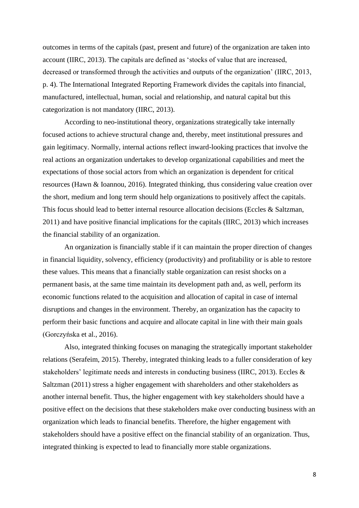outcomes in terms of the capitals (past, present and future) of the organization are taken into account (IIRC, 2013). The capitals are defined as 'stocks of value that are increased, decreased or transformed through the activities and outputs of the organization' (IIRC, 2013, p. 4). The International Integrated Reporting Framework divides the capitals into financial, manufactured, intellectual, human, social and relationship, and natural capital but this categorization is not mandatory (IIRC, 2013).

According to neo-institutional theory, organizations strategically take internally focused actions to achieve structural change and, thereby, meet institutional pressures and gain legitimacy. Normally, internal actions reflect inward-looking practices that involve the real actions an organization undertakes to develop organizational capabilities and meet the expectations of those social actors from which an organization is dependent for critical resources (Hawn & Ioannou, 2016). Integrated thinking, thus considering value creation over the short, medium and long term should help organizations to positively affect the capitals. This focus should lead to better internal resource allocation decisions (Eccles & Saltzman, 2011) and have positive financial implications for the capitals (IIRC, 2013) which increases the financial stability of an organization.

An organization is financially stable if it can maintain the proper direction of changes in financial liquidity, solvency, efficiency (productivity) and profitability or is able to restore these values. This means that a financially stable organization can resist shocks on a permanent basis, at the same time maintain its development path and, as well, perform its economic functions related to the acquisition and allocation of capital in case of internal disruptions and changes in the environment. Thereby, an organization has the capacity to perform their basic functions and acquire and allocate capital in line with their main goals (Gorczyńska et al., 2016).

Also, integrated thinking focuses on managing the strategically important stakeholder relations (Serafeim, 2015). Thereby, integrated thinking leads to a fuller consideration of key stakeholders' legitimate needs and interests in conducting business (IIRC, 2013). Eccles & Saltzman (2011) stress a higher engagement with shareholders and other stakeholders as another internal benefit. Thus, the higher engagement with key stakeholders should have a positive effect on the decisions that these stakeholders make over conducting business with an organization which leads to financial benefits. Therefore, the higher engagement with stakeholders should have a positive effect on the financial stability of an organization. Thus, integrated thinking is expected to lead to financially more stable organizations.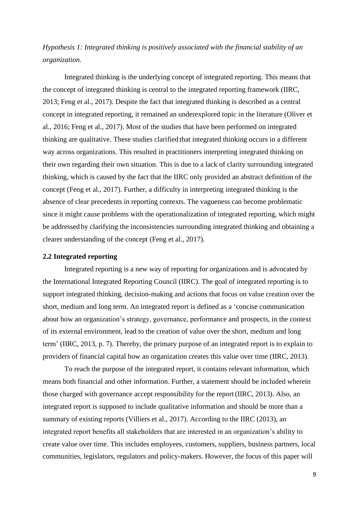*Hypothesis 1: Integrated thinking is positively associated with the financial stability of an organization.*

Integrated thinking is the underlying concept of integrated reporting. This means that the concept of integrated thinking is central to the integrated reporting framework (IIRC, 2013; Feng et al., 2017). Despite the fact that integrated thinking is described as a central concept in integrated reporting, it remained an underexplored topic in the literature (Oliver et al., 2016; Feng et al., 2017). Most of the studies that have been performed on integrated thinking are qualitative. These studies clarified that integrated thinking occurs in a different way across organizations. This resulted in practitioners interpreting integrated thinking on their own regarding their own situation. This is due to a lack of clarity surrounding integrated thinking, which is caused by the fact that the IIRC only provided an abstract definition of the concept (Feng et al., 2017). Further, a difficulty in interpreting integrated thinking is the absence of clear precedents in reporting contexts. The vagueness can become problematic since it might cause problems with the operationalization of integrated reporting, which might be addressed by clarifying the inconsistencies surrounding integrated thinking and obtaining a clearer understanding of the concept (Feng et al., 2017).

#### **2.2 Integrated reporting**

Integrated reporting is a new way of reporting for organizations and is advocated by the International Integrated Reporting Council (IIRC). The goal of integrated reporting is to support integrated thinking, decision-making and actions that focus on value creation over the short, medium and long term. An integrated report is defined as a 'concise communication about how an organization's strategy, governance, performance and prospects, in the context of its external environment, lead to the creation of value over the short, medium and long term' (IIRC, 2013, p. 7). Thereby, the primary purpose of an integrated report is to explain to providers of financial capital how an organization creates this value over time (IIRC, 2013).

To reach the purpose of the integrated report, it contains relevant information, which means both financial and other information. Further, a statement should be included wherein those charged with governance accept responsibility for the report(IIRC, 2013). Also, an integrated report is supposed to include qualitative information and should be more than a summary of existing reports (Villiers et al., 2017). According to the IIRC (2013), an integrated report benefits all stakeholders that are interested in an organization's ability to create value over time. This includes employees, customers, suppliers, business partners, local communities, legislators, regulators and policy-makers. However, the focus of this paper will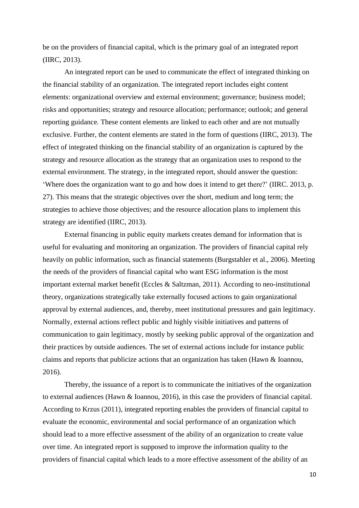be on the providers of financial capital, which is the primary goal of an integrated report (IIRC, 2013).

An integrated report can be used to communicate the effect of integrated thinking on the financial stability of an organization. The integrated report includes eight content elements: organizational overview and external environment; governance; business model; risks and opportunities; strategy and resource allocation; performance; outlook; and general reporting guidance*.* These content elements are linked to each other and are not mutually exclusive. Further, the content elements are stated in the form of questions (IIRC, 2013). The effect of integrated thinking on the financial stability of an organization is captured by the strategy and resource allocation as the strategy that an organization uses to respond to the external environment. The strategy, in the integrated report, should answer the question: 'Where does the organization want to go and how does it intend to get there?' (IIRC. 2013, p. 27). This means that the strategic objectives over the short, medium and long term; the strategies to achieve those objectives; and the resource allocation plans to implement this strategy are identified (IIRC, 2013).

External financing in public equity markets creates demand for information that is useful for evaluating and monitoring an organization. The providers of financial capital rely heavily on public information, such as financial statements (Burgstahler et al., 2006). Meeting the needs of the providers of financial capital who want ESG information is the most important external market benefit (Eccles & Saltzman, 2011). According to neo-institutional theory, organizations strategically take externally focused actions to gain organizational approval by external audiences, and, thereby, meet institutional pressures and gain legitimacy. Normally, external actions reflect public and highly visible initiatives and patterns of communication to gain legitimacy, mostly by seeking public approval of the organization and their practices by outside audiences. The set of external actions include for instance public claims and reports that publicize actions that an organization has taken (Hawn & Ioannou, 2016).

Thereby, the issuance of a report is to communicate the initiatives of the organization to external audiences (Hawn & Ioannou, 2016), in this case the providers of financial capital. According to Krzus (2011), integrated reporting enables the providers of financial capital to evaluate the economic, environmental and social performance of an organization which should lead to a more effective assessment of the ability of an organization to create value over time. An integrated report is supposed to improve the information quality to the providers of financial capital which leads to a more effective assessment of the ability of an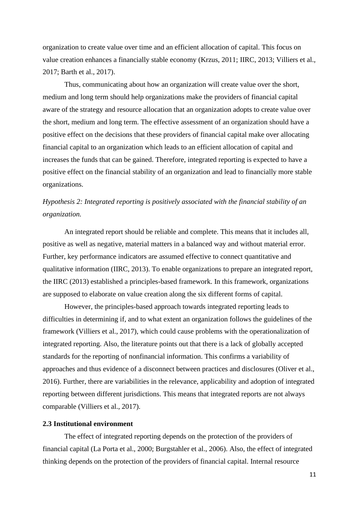organization to create value over time and an efficient allocation of capital. This focus on value creation enhances a financially stable economy (Krzus, 2011; IIRC, 2013; Villiers et al., 2017; Barth et al., 2017).

Thus, communicating about how an organization will create value over the short, medium and long term should help organizations make the providers of financial capital aware of the strategy and resource allocation that an organization adopts to create value over the short, medium and long term. The effective assessment of an organization should have a positive effect on the decisions that these providers of financial capital make over allocating financial capital to an organization which leads to an efficient allocation of capital and increases the funds that can be gained. Therefore, integrated reporting is expected to have a positive effect on the financial stability of an organization and lead to financially more stable organizations.

# *Hypothesis 2: Integrated reporting is positively associated with the financial stability of an organization.*

An integrated report should be reliable and complete. This means that it includes all, positive as well as negative, material matters in a balanced way and without material error. Further, key performance indicators are assumed effective to connect quantitative and qualitative information (IIRC, 2013). To enable organizations to prepare an integrated report, the IIRC (2013) established a principles-based framework. In this framework, organizations are supposed to elaborate on value creation along the six different forms of capital.

However, the principles-based approach towards integrated reporting leads to difficulties in determining if, and to what extent an organization follows the guidelines of the framework (Villiers et al., 2017), which could cause problems with the operationalization of integrated reporting. Also, the literature points out that there is a lack of globally accepted standards for the reporting of nonfinancial information. This confirms a variability of approaches and thus evidence of a disconnect between practices and disclosures (Oliver et al., 2016). Further, there are variabilities in the relevance, applicability and adoption of integrated reporting between different jurisdictions. This means that integrated reports are not always comparable (Villiers et al., 2017).

#### **2.3 Institutional environment**

The effect of integrated reporting depends on the protection of the providers of financial capital (La Porta et al., 2000; Burgstahler et al., 2006). Also, the effect of integrated thinking depends on the protection of the providers of financial capital. Internal resource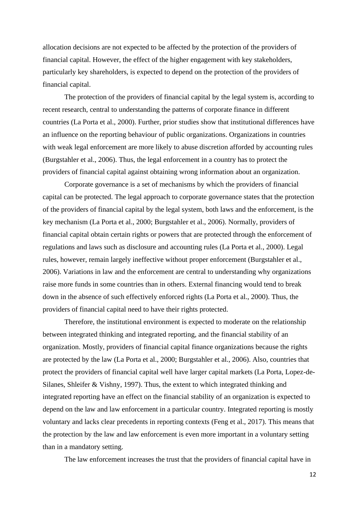allocation decisions are not expected to be affected by the protection of the providers of financial capital. However, the effect of the higher engagement with key stakeholders, particularly key shareholders, is expected to depend on the protection of the providers of financial capital.

The protection of the providers of financial capital by the legal system is, according to recent research, central to understanding the patterns of corporate finance in different countries (La Porta et al., 2000). Further, prior studies show that institutional differences have an influence on the reporting behaviour of public organizations. Organizations in countries with weak legal enforcement are more likely to abuse discretion afforded by accounting rules (Burgstahler et al., 2006). Thus, the legal enforcement in a country has to protect the providers of financial capital against obtaining wrong information about an organization.

Corporate governance is a set of mechanisms by which the providers of financial capital can be protected. The legal approach to corporate governance states that the protection of the providers of financial capital by the legal system, both laws and the enforcement, is the key mechanism (La Porta et al., 2000; Burgstahler et al., 2006). Normally, providers of financial capital obtain certain rights or powers that are protected through the enforcement of regulations and laws such as disclosure and accounting rules (La Porta et al., 2000). Legal rules, however, remain largely ineffective without proper enforcement (Burgstahler et al., 2006). Variations in law and the enforcement are central to understanding why organizations raise more funds in some countries than in others. External financing would tend to break down in the absence of such effectively enforced rights (La Porta et al., 2000). Thus, the providers of financial capital need to have their rights protected.

Therefore, the institutional environment is expected to moderate on the relationship between integrated thinking and integrated reporting, and the financial stability of an organization. Mostly, providers of financial capital finance organizations because the rights are protected by the law (La Porta et al., 2000; Burgstahler et al., 2006). Also, countries that protect the providers of financial capital well have larger capital markets (La Porta, Lopez-de-Silanes, Shleifer & Vishny, 1997). Thus, the extent to which integrated thinking and integrated reporting have an effect on the financial stability of an organization is expected to depend on the law and law enforcement in a particular country. Integrated reporting is mostly voluntary and lacks clear precedents in reporting contexts (Feng et al., 2017). This means that the protection by the law and law enforcement is even more important in a voluntary setting than in a mandatory setting.

The law enforcement increases the trust that the providers of financial capital have in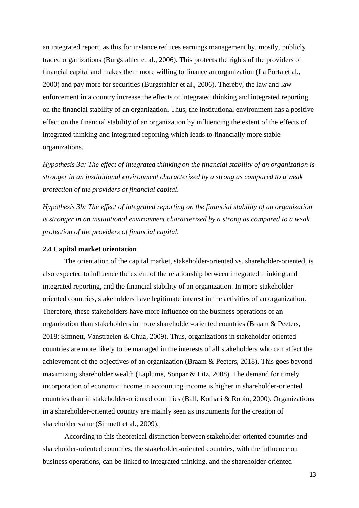an integrated report, as this for instance reduces earnings management by, mostly, publicly traded organizations (Burgstahler et al., 2006). This protects the rights of the providers of financial capital and makes them more willing to finance an organization (La Porta et al., 2000) and pay more for securities (Burgstahler et al., 2006). Thereby, the law and law enforcement in a country increase the effects of integrated thinking and integrated reporting on the financial stability of an organization. Thus, the institutional environment has a positive effect on the financial stability of an organization by influencing the extent of the effects of integrated thinking and integrated reporting which leads to financially more stable organizations.

*Hypothesis 3a: The effect of integrated thinking on the financial stability of an organization is stronger in an institutional environment characterized by a strong as compared to a weak protection of the providers of financial capital.*

*Hypothesis 3b: The effect of integrated reporting on the financial stability of an organization is stronger in an institutional environment characterized by a strong as compared to a weak protection of the providers of financial capital.*

#### **2.4 Capital market orientation**

The orientation of the capital market, stakeholder-oriented vs. shareholder-oriented, is also expected to influence the extent of the relationship between integrated thinking and integrated reporting, and the financial stability of an organization. In more stakeholderoriented countries, stakeholders have legitimate interest in the activities of an organization. Therefore, these stakeholders have more influence on the business operations of an organization than stakeholders in more shareholder-oriented countries (Braam & Peeters, 2018; Simnett, Vanstraelen & Chua, 2009). Thus, organizations in stakeholder-oriented countries are more likely to be managed in the interests of all stakeholders who can affect the achievement of the objectives of an organization (Braam & Peeters, 2018). This goes beyond maximizing shareholder wealth (Laplume, Sonpar & Litz, 2008). The demand for timely incorporation of economic income in accounting income is higher in shareholder-oriented countries than in stakeholder-oriented countries (Ball, Kothari & Robin, 2000). Organizations in a shareholder-oriented country are mainly seen as instruments for the creation of shareholder value (Simnett et al., 2009).

According to this theoretical distinction between stakeholder-oriented countries and shareholder-oriented countries, the stakeholder-oriented countries, with the influence on business operations, can be linked to integrated thinking, and the shareholder-oriented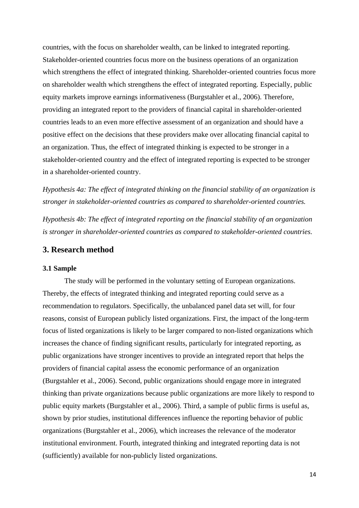countries, with the focus on shareholder wealth, can be linked to integrated reporting. Stakeholder-oriented countries focus more on the business operations of an organization which strengthens the effect of integrated thinking. Shareholder-oriented countries focus more on shareholder wealth which strengthens the effect of integrated reporting. Especially, public equity markets improve earnings informativeness (Burgstahler et al., 2006). Therefore, providing an integrated report to the providers of financial capital in shareholder-oriented countries leads to an even more effective assessment of an organization and should have a positive effect on the decisions that these providers make over allocating financial capital to an organization. Thus, the effect of integrated thinking is expected to be stronger in a stakeholder-oriented country and the effect of integrated reporting is expected to be stronger in a shareholder-oriented country.

*Hypothesis 4a: The effect of integrated thinking on the financial stability of an organization is stronger in stakeholder-oriented countries as compared to shareholder-oriented countries.*

*Hypothesis 4b: The effect of integrated reporting on the financial stability of an organization is stronger in shareholder-oriented countries as compared to stakeholder-oriented countries.*

#### **3. Research method**

#### **3.1 Sample**

The study will be performed in the voluntary setting of European organizations. Thereby, the effects of integrated thinking and integrated reporting could serve as a recommendation to regulators. Specifically, the unbalanced panel data set will, for four reasons, consist of European publicly listed organizations. First, the impact of the long-term focus of listed organizations is likely to be larger compared to non-listed organizations which increases the chance of finding significant results, particularly for integrated reporting, as public organizations have stronger incentives to provide an integrated report that helps the providers of financial capital assess the economic performance of an organization (Burgstahler et al., 2006). Second, public organizations should engage more in integrated thinking than private organizations because public organizations are more likely to respond to public equity markets (Burgstahler et al., 2006). Third, a sample of public firms is useful as, shown by prior studies, institutional differences influence the reporting behavior of public organizations (Burgstahler et al., 2006), which increases the relevance of the moderator institutional environment. Fourth, integrated thinking and integrated reporting data is not (sufficiently) available for non-publicly listed organizations.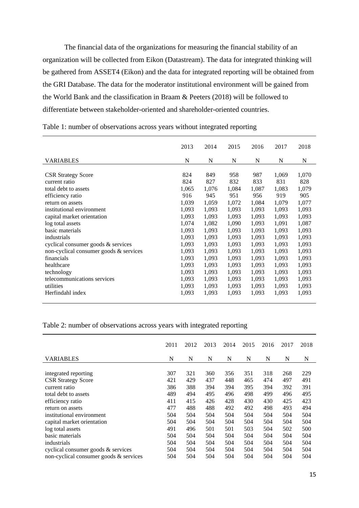The financial data of the organizations for measuring the financial stability of an organization will be collected from Eikon (Datastream). The data for integrated thinking will be gathered from ASSET4 (Eikon) and the data for integrated reporting will be obtained from the GRI Database. The data for the moderator institutional environment will be gained from the World Bank and the classification in Braam & Peeters (2018) will be followed to differentiate between stakeholder-oriented and shareholder-oriented countries.

|                                        | 2013  | 2014  | 2015  | 2016  | 2017  | 2018  |
|----------------------------------------|-------|-------|-------|-------|-------|-------|
| <b>VARIABLES</b>                       | N     | N     | N     | N     | N     | N     |
| <b>CSR Strategy Score</b>              | 824   | 849   | 958   | 987   | 1,069 | 1,070 |
| current ratio                          | 824   | 827   | 832   | 833   | 831   | 828   |
| total debt to assets                   | 1,065 | 1,076 | 1,084 | 1,087 | 1,083 | 1,079 |
| efficiency ratio                       | 916   | 945   | 951   | 956   | 919   | 905   |
| return on assets                       | 1,039 | 1,059 | 1,072 | 1,084 | 1,079 | 1,077 |
| institutional environment              | 1,093 | 1,093 | 1,093 | 1,093 | 1,093 | 1,093 |
| capital market orientation             | 1,093 | 1,093 | 1,093 | 1,093 | 1,093 | 1,093 |
| log total assets                       | 1,074 | 1,082 | 1,090 | 1,093 | 1,091 | 1,087 |
| basic materials                        | 1,093 | 1,093 | 1,093 | 1,093 | 1,093 | 1,093 |
| industrials                            | 1,093 | 1,093 | 1,093 | 1,093 | 1,093 | 1,093 |
| cyclical consumer goods & services     | 1,093 | 1,093 | 1,093 | 1,093 | 1,093 | 1,093 |
| non-cyclical consumer goods & services | 1,093 | 1,093 | 1,093 | 1,093 | 1,093 | 1,093 |
| financials                             | 1,093 | 1,093 | 1,093 | 1,093 | 1,093 | 1,093 |
| healthcare                             | 1,093 | 1,093 | 1,093 | 1,093 | 1,093 | 1,093 |
| technology                             | 1,093 | 1,093 | 1,093 | 1,093 | 1,093 | 1,093 |
| telecommunications services            | 1,093 | 1,093 | 1,093 | 1,093 | 1,093 | 1,093 |
| utilities                              | 1,093 | 1,093 | 1,093 | 1,093 | 1,093 | 1,093 |
| Herfindahl index                       | 1,093 | 1,093 | 1,093 | 1,093 | 1,093 | 1,093 |

Table 1: number of observations across years without integrated reporting

Table 2: number of observations across years with integrated reporting

|                                        | 2011 | 2012 | 2013 | 2014 | 2015 | 2016 | 2017 | 2018 |
|----------------------------------------|------|------|------|------|------|------|------|------|
| <b>VARIABLES</b>                       | N    | N    | N    | N    | N    | N    | N    | N    |
|                                        |      |      |      |      |      |      |      |      |
| integrated reporting                   | 307  | 321  | 360  | 356  | 351  | 318  | 268  | 229  |
| <b>CSR Strategy Score</b>              | 421  | 429  | 437  | 448  | 465  | 474  | 497  | 491  |
| current ratio                          | 386  | 388  | 394  | 394  | 395  | 394  | 392  | 391  |
| total debt to assets                   | 489  | 494  | 495  | 496  | 498  | 499  | 496  | 495  |
| efficiency ratio                       | 411  | 415  | 426  | 428  | 430  | 430  | 425  | 423  |
| return on assets                       | 477  | 488  | 488  | 492  | 492  | 498  | 493  | 494  |
| institutional environment              | 504  | 504  | 504  | 504  | 504  | 504  | 504  | 504  |
| capital market orientation             | 504  | 504  | 504  | 504  | 504  | 504  | 504  | 504  |
| log total assets                       | 491  | 496  | 501  | 501  | 503  | 504  | 502  | 500  |
| basic materials                        | 504  | 504  | 504  | 504  | 504  | 504  | 504  | 504  |
| industrials                            | 504  | 504  | 504  | 504  | 504  | 504  | 504  | 504  |
| cyclical consumer goods $&$ services   | 504  | 504  | 504  | 504  | 504  | 504  | 504  | 504  |
| non-cyclical consumer goods & services | 504  | 504  | 504  | 504  | 504  | 504  | 504  | 504  |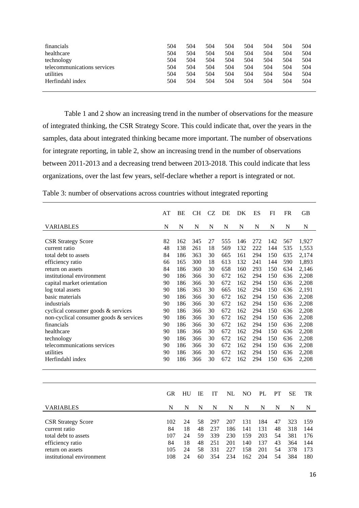| financials                  | 504 | 504 | 504 | 504 | 504 | 504 | 504 | 504 |
|-----------------------------|-----|-----|-----|-----|-----|-----|-----|-----|
| healthcare                  | 504 | 504 | 504 | 504 | 504 | 504 | 504 | 504 |
| technology                  | 504 | 504 | 504 | 504 | 504 | 504 | 504 | 504 |
| telecommunications services | 504 | 504 | 504 | 504 | 504 | 504 | 504 | 504 |
| utilities                   | 504 | 504 | 504 | 504 | 504 | 504 | 504 | 504 |
| Herfindahl index            | 504 | 504 | 504 | 504 | 504 | 504 | 504 | 504 |
|                             |     |     |     |     |     |     |     |     |

Table 1 and 2 show an increasing trend in the number of observations for the measure of integrated thinking, the CSR Strategy Score. This could indicate that, over the years in the samples, data about integrated thinking became more important. The number of observations for integrate reporting, in table 2, show an increasing trend in the number of observations between 2011-2013 and a decreasing trend between 2013-2018. This could indicate that less organizations, over the last few years, self-declare whether a report is integrated or not.

|  | Table 3: number of observations across countries without integrated reporting |  |  |  |
|--|-------------------------------------------------------------------------------|--|--|--|
|  |                                                                               |  |  |  |

|                                        | AT        | BE  | <b>CH</b> | <b>CZ</b> | DE  | DK             | ES  | FI  | <b>FR</b> | <b>GB</b> |
|----------------------------------------|-----------|-----|-----------|-----------|-----|----------------|-----|-----|-----------|-----------|
| <b>VARIABLES</b>                       | N         | N   | N         | N         | N   | N              | N   | N   | N         | N         |
|                                        |           |     |           |           |     |                |     |     |           |           |
| <b>CSR Strategy Score</b>              | 82        | 162 | 345       | 27        | 555 | 146            | 272 | 142 | 567       | 1,927     |
| current ratio                          | 48        | 138 | 261       | 18        | 569 | 132            | 222 | 144 | 535       | 1,553     |
| total debt to assets                   | 84        | 186 | 363       | 30        | 665 | 161            | 294 | 150 | 635       | 2,174     |
| efficiency ratio                       | 66        | 165 | 300       | 18        | 613 | 132            | 241 | 144 | 590       | 1,893     |
| return on assets                       | 84        | 186 | 360       | 30        | 658 | 160            | 293 | 150 | 634       | 2,146     |
| institutional environment              | 90        | 186 | 366       | 30        | 672 | 162            | 294 | 150 | 636       | 2,208     |
| capital market orientation             | 90        | 186 | 366       | 30        | 672 | 162            | 294 | 150 | 636       | 2,208     |
| log total assets                       | 90        | 186 | 363       | 30        | 665 | 162            | 294 | 150 | 636       | 2,191     |
| basic materials                        | 90        | 186 | 366       | 30        | 672 | 162            | 294 | 150 | 636       | 2,208     |
| industrials                            | 90        | 186 | 366       | 30        | 672 | 162            | 294 | 150 | 636       | 2,208     |
| cyclical consumer goods & services     | 90        | 186 | 366       | 30        | 672 | 162            | 294 | 150 | 636       | 2,208     |
| non-cyclical consumer goods & services | 90        | 186 | 366       | 30        | 672 | 162            | 294 | 150 | 636       | 2,208     |
| financials                             | 90        | 186 | 366       | 30        | 672 | 162            | 294 | 150 | 636       | 2,208     |
| healthcare                             | 90        | 186 | 366       | 30        | 672 | 162            | 294 | 150 | 636       | 2,208     |
| technology                             | 90        | 186 | 366       | 30        | 672 | 162            | 294 | 150 | 636       | 2,208     |
| telecommunications services            | 90        | 186 | 366       | 30        | 672 | 162            | 294 | 150 | 636       | 2,208     |
| utilities                              | 90        | 186 | 366       | 30        | 672 | 162            | 294 | 150 | 636       | 2,208     |
| Herfindahl index                       | 90        | 186 | 366       | 30        | 672 | 162            | 294 | 150 | 636       | 2,208     |
|                                        |           |     |           |           |     |                |     |     |           |           |
|                                        | <b>GR</b> | HU  | IE        | <b>IT</b> | NL  | N <sub>O</sub> | PL  | PT  | <b>SE</b> | <b>TR</b> |
| <b>VARIABLES</b>                       | N         | N   | N         | N         | N   | N              | N   | N   | N         | N         |
| <b>CSR Strategy Score</b>              | 102       | 24  | 58        | 297       | 207 | 131            | 184 | 47  | 323       | 159       |

| 48 318 144             |
|------------------------|
| 230 159 203 54 381 176 |
| 43 364 144             |
| 54 378 173             |
| -180                   |
|                        |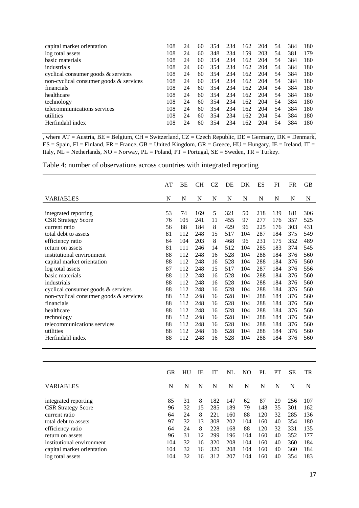| capital market orientation             | 108 | 24 | 60 | 354 | 234 | 162 | 204 | 54 | 384 | 180 |
|----------------------------------------|-----|----|----|-----|-----|-----|-----|----|-----|-----|
| log total assets                       | 108 | 24 | 60 | 348 | 234 | 159 | 203 | 54 | 381 | 179 |
| basic materials                        | 108 | 24 | 60 | 354 | 234 | 162 | 204 | 54 | 384 | 180 |
| industrials                            | 108 | 24 | 60 | 354 | 234 | 162 | 204 | 54 | 384 | 180 |
| cyclical consumer goods $\&$ services  | 108 | 24 | 60 | 354 | 234 | 162 | 204 | 54 | 384 | 180 |
| non-cyclical consumer goods & services | 108 | 24 | 60 | 354 | 234 | 162 | 204 | 54 | 384 | 180 |
| financials                             | 108 | 24 | 60 | 354 | 234 | 162 | 204 | 54 | 384 | 180 |
| healthcare                             | 108 | 24 | 60 | 354 | 234 | 162 | 204 | 54 | 384 | 180 |
| technology                             | 108 | 24 | 60 | 354 | 234 | 162 | 204 | 54 | 384 | 180 |
| telecommunications services            | 108 | 24 | 60 | 354 | 234 | 162 | 204 | 54 | 384 | 180 |
| utilities                              | 108 | 24 | 60 | 354 | 234 | 162 | 204 | 54 | 384 | 180 |
| Herfindahl index                       | 108 | 24 | 60 | 354 | 234 | 162 | 204 | 54 | 384 | 180 |

, where  $AT =$  Austria,  $BE =$  Belgium,  $CH =$  Switzerland,  $CZ =$  Czech Republic,  $DE =$  Germany,  $DK =$  Denmark,  $ES = Spain$ ,  $FI = Finland$ ,  $FR = France$ ,  $GB = United Kingdom$ ,  $GR = Greece$ ,  $HU = Hungary$ ,  $IE = Ireland$ ,  $IT =$ Italy,  $NL = Netherlands$ ,  $NO = Norway$ ,  $PL = Poland$ ,  $PT = Portugal$ ,  $SE = Sweden$ ,  $TR = Turkey$ .

Table 4: number of observations across countries with integrated reporting

|                                        | AT | ВE  | CН  | CZ | DE  | DK  | ES  | FI  | FR  | GB  |
|----------------------------------------|----|-----|-----|----|-----|-----|-----|-----|-----|-----|
| VARIABLES                              | N  | N   | N   | N  | N   | N   | N   | N   | N   | N   |
|                                        |    |     |     |    |     |     |     |     |     |     |
| integrated reporting                   | 53 | 74  | 169 | 5  | 321 | 50  | 218 | 139 | 181 | 306 |
| <b>CSR Strategy Score</b>              | 76 | 105 | 241 | 11 | 455 | 97  | 277 | 176 | 357 | 525 |
| current ratio                          | 56 | 88  | 184 | 8  | 429 | 96  | 225 | 176 | 303 | 431 |
| total debt to assets                   | 81 | 112 | 248 | 15 | 517 | 104 | 287 | 184 | 375 | 549 |
| efficiency ratio                       | 64 | 104 | 203 | 8  | 468 | 96  | 231 | 175 | 352 | 489 |
| return on assets                       | 81 | 111 | 246 | 14 | 512 | 104 | 285 | 183 | 374 | 545 |
| institutional environment              | 88 | 112 | 248 | 16 | 528 | 104 | 288 | 184 | 376 | 560 |
| capital market orientation             | 88 | 112 | 248 | 16 | 528 | 104 | 288 | 184 | 376 | 560 |
| log total assets                       | 87 | 112 | 248 | 15 | 517 | 104 | 287 | 184 | 376 | 556 |
| basic materials                        | 88 | 112 | 248 | 16 | 528 | 104 | 288 | 184 | 376 | 560 |
| industrials                            | 88 | 112 | 248 | 16 | 528 | 104 | 288 | 184 | 376 | 560 |
| cyclical consumer goods & services     | 88 | 112 | 248 | 16 | 528 | 104 | 288 | 184 | 376 | 560 |
| non-cyclical consumer goods & services | 88 | 112 | 248 | 16 | 528 | 104 | 288 | 184 | 376 | 560 |
| financials                             | 88 | 112 | 248 | 16 | 528 | 104 | 288 | 184 | 376 | 560 |
| healthcare                             | 88 | 112 | 248 | 16 | 528 | 104 | 288 | 184 | 376 | 560 |
| technology                             | 88 | 112 | 248 | 16 | 528 | 104 | 288 | 184 | 376 | 560 |
| telecommunications services            | 88 | 112 | 248 | 16 | 528 | 104 | 288 | 184 | 376 | 560 |
| utilities                              | 88 | 112 | 248 | 16 | 528 | 104 | 288 | 184 | 376 | 560 |
| Herfindahl index                       | 88 | 112 | 248 | 16 | 528 | 104 | 288 | 184 | 376 | 560 |
|                                        |    |     |     |    |     |     |     |     |     |     |

|                                                                                                                                                                                                                   | GR                                                    | HU                                                 | IE                                              | IT                                                          | NL                                                          | NO                                                      | PL                                                         | PT                                                 | SЕ                                                          | TR                                                          |
|-------------------------------------------------------------------------------------------------------------------------------------------------------------------------------------------------------------------|-------------------------------------------------------|----------------------------------------------------|-------------------------------------------------|-------------------------------------------------------------|-------------------------------------------------------------|---------------------------------------------------------|------------------------------------------------------------|----------------------------------------------------|-------------------------------------------------------------|-------------------------------------------------------------|
| <b>VARIABLES</b>                                                                                                                                                                                                  | N                                                     | N                                                  | N                                               | N                                                           | N                                                           | N                                                       | N                                                          | N                                                  | N                                                           | N                                                           |
| integrated reporting<br><b>CSR Strategy Score</b><br>current ratio<br>total debt to assets<br>efficiency ratio<br>return on assets<br>institutional environment<br>capital market orientation<br>log total assets | 85<br>96<br>64<br>97<br>64<br>96<br>104<br>104<br>104 | 31<br>32<br>24<br>32<br>24<br>31<br>32<br>32<br>32 | 8<br>15<br>8<br>13<br>8<br>12<br>16<br>16<br>16 | 182<br>285<br>221<br>308<br>228<br>299<br>320<br>320<br>312 | 147<br>189<br>160<br>202<br>168<br>196<br>208<br>208<br>207 | 62<br>79<br>88<br>104<br>88<br>104<br>104<br>104<br>104 | 87<br>148<br>120<br>160<br>120<br>160<br>160<br>160<br>160 | 29<br>35<br>32<br>40<br>32<br>40<br>40<br>40<br>40 | 256<br>301<br>285<br>354<br>331<br>352<br>360<br>360<br>354 | 107<br>162<br>136<br>180<br>135<br>177<br>184<br>184<br>183 |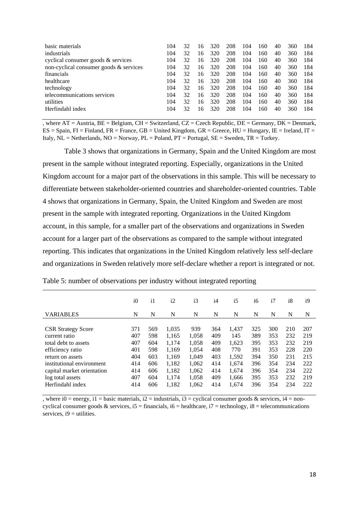| basic materials                        | 104 | 32 | 16 | 320 | 208 | 104 | 160 | 40 | 360 | 184 |
|----------------------------------------|-----|----|----|-----|-----|-----|-----|----|-----|-----|
| industrials                            | 104 | 32 | 16 | 320 | 208 | 104 | 160 | 40 | 360 | 184 |
| cyclical consumer goods $\&$ services  | 104 | 32 | 16 | 320 | 208 | 104 | 160 | 40 | 360 | 184 |
| non-cyclical consumer goods & services | 104 | 32 | 16 | 320 | 208 | 104 | 160 | 40 | 360 | 184 |
| <i>financials</i>                      | 104 | 32 | 16 | 320 | 208 | 104 | 160 | 40 | 360 | 184 |
| healthcare                             | 104 | 32 | 16 | 320 | 208 | 104 | 160 | 40 | 360 | 184 |
| technology                             | 104 | 32 | 16 | 320 | 208 | 104 | 160 | 40 | 360 | 184 |
| telecommunications services            | 104 | 32 | 16 | 320 | 208 | 104 | 160 | 40 | 360 | 184 |
| utilities                              | 104 | 32 | 16 | 320 | 208 | 104 | 160 | 40 | 360 | 184 |
| Herfindahl index                       | 104 | 32 | 16 | 320 | 208 | 104 | 160 | 40 | 360 | 184 |

 $\overline{A}$ , where AT = Austria, BE = Belgium, CH = Switzerland, CZ = Czech Republic, DE = Germany, DK = Denmark,  $ES = Spain$ ,  $FI = Finland$ ,  $FR = France$ ,  $GB = United Kingdom$ ,  $GR = Greece$ ,  $HU = Hungary$ ,  $IE = Ireland$ ,  $IT =$ Italy,  $NL = Netherlands$ ,  $NO = Norway$ ,  $PL = Poland$ ,  $PT = Portugal$ ,  $SE = Sweden$ ,  $TR = Turkey$ .

Table 3 shows that organizations in Germany, Spain and the United Kingdom are most present in the sample without integrated reporting. Especially, organizations in the United Kingdom account for a major part of the observations in this sample. This will be necessary to differentiate between stakeholder-oriented countries and shareholder-oriented countries. Table 4 shows that organizations in Germany, Spain, the United Kingdom and Sweden are most present in the sample with integrated reporting. Organizations in the United Kingdom account, in this sample, for a smaller part of the observations and organizations in Sweden account for a larger part of the observations as compared to the sample without integrated reporting. This indicates that organizations in the United Kingdom relatively less self-declare and organizations in Sweden relatively more self-declare whether a report is integrated or not.

|                                                                                                                                                                                                               | $i\Omega$                                                   | $\mathbf{i}$                                                | i2                                                                            | i3                                                                          | i4                                                          | i <sub>5</sub>                                                            | i6                                                          | i7                                                          | i8                                                          | i9                                                          |
|---------------------------------------------------------------------------------------------------------------------------------------------------------------------------------------------------------------|-------------------------------------------------------------|-------------------------------------------------------------|-------------------------------------------------------------------------------|-----------------------------------------------------------------------------|-------------------------------------------------------------|---------------------------------------------------------------------------|-------------------------------------------------------------|-------------------------------------------------------------|-------------------------------------------------------------|-------------------------------------------------------------|
| <b>VARIABLES</b>                                                                                                                                                                                              | N                                                           | N                                                           | N                                                                             | N                                                                           | N                                                           | N                                                                         | N                                                           | N                                                           | N                                                           | N                                                           |
| <b>CSR Strategy Score</b><br>current ratio<br>total debt to assets<br>efficiency ratio<br>return on assets<br>institutional environment<br>capital market orientation<br>log total assets<br>Herfindahl index | 371<br>407<br>407<br>401<br>404<br>414<br>414<br>407<br>414 | 569<br>598<br>604<br>598<br>603<br>606<br>606<br>604<br>606 | 1,035<br>1,165<br>1,174<br>1,169<br>1.169<br>1,182<br>1,182<br>1,174<br>1,182 | 939<br>1.058<br>1.058<br>1,054<br>1.049<br>1.062<br>1,062<br>1,058<br>1,062 | 364<br>409<br>409<br>408<br>403<br>414<br>414<br>409<br>414 | 1,437<br>145<br>1,623<br>770<br>1,592<br>1,674<br>1,674<br>1,666<br>1,674 | 325<br>389<br>395<br>391<br>394<br>396<br>396<br>395<br>396 | 300<br>353<br>353<br>353<br>350<br>354<br>354<br>353<br>354 | 210<br>232<br>232<br>228<br>231<br>234<br>234<br>232<br>234 | 207<br>219<br>219<br>220<br>215<br>222<br>222<br>219<br>222 |

Table 5: number of observations per industry without integrated reporting

, where  $i0 =$  energy,  $i1 =$  basic materials,  $i2 =$  industrials,  $i3 =$  cyclical consumer goods & services,  $i4 =$  noncyclical consumer goods & services,  $i5 =$  financials,  $i6 =$  healthcare,  $i7 =$  technology,  $i8 =$  telecommunications services,  $i9 =$  utilities.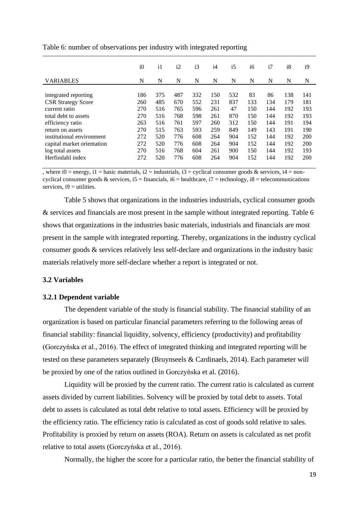|                            | i0  | $\mathbf{i}$ | i2  | i3  | i4  | i5  | i6  | i7  | i8  | i9  |
|----------------------------|-----|--------------|-----|-----|-----|-----|-----|-----|-----|-----|
| <b>VARIABLES</b>           | N   | N            | N   | N   | N   | N   | N   | N   | N   | N   |
|                            |     |              |     |     |     |     |     |     |     |     |
| integrated reporting       | 186 | 375          | 487 | 332 | 150 | 532 | 83  | 86  | 138 | 141 |
| <b>CSR Strategy Score</b>  | 260 | 485          | 670 | 552 | 231 | 837 | 133 | 134 | 179 | 181 |
| current ratio              | 270 | 516          | 765 | 596 | 261 | 47  | 150 | 144 | 192 | 193 |
| total debt to assets       | 270 | 516          | 768 | 598 | 261 | 870 | 150 | 144 | 192 | 193 |
| efficiency ratio           | 263 | 516          | 761 | 597 | 260 | 312 | 150 | 144 | 191 | 194 |
| return on assets           | 270 | 515          | 763 | 593 | 259 | 849 | 149 | 143 | 191 | 190 |
| institutional environment  | 272 | 520          | 776 | 608 | 264 | 904 | 152 | 144 | 192 | 200 |
| capital market orientation | 272 | 520          | 776 | 608 | 264 | 904 | 152 | 144 | 192 | 200 |
| log total assets           | 270 | 516          | 768 | 604 | 261 | 900 | 150 | 144 | 192 | 193 |
| Herfindahl index           | 272 | 520          | 776 | 608 | 264 | 904 | 152 | 144 | 192 | 200 |

Table 6: number of observations per industry with integrated reporting

, where  $i0 =$  energy,  $i1 =$  basic materials,  $i2 =$  industrials,  $i3 =$  cyclical consumer goods & services,  $i4 =$  noncyclical consumer goods & services,  $i5 =$  financials,  $i6 =$  healthcare,  $i7 =$  technology,  $i8 =$  telecommunications services,  $i9 =$  utilities.

Table 5 shows that organizations in the industries industrials, cyclical consumer goods & services and financials are most present in the sample without integrated reporting. Table 6 shows that organizations in the industries basic materials, industrials and financials are most present in the sample with integrated reporting. Thereby, organizations in the industry cyclical consumer goods & services relatively less self-declare and organizations in the industry basic materials relatively more self-declare whether a report is integrated or not.

#### **3.2 Variables**

#### **3.2.1 Dependent variable**

The dependent variable of the study is financial stability. The financial stability of an organization is based on particular financial parameters referring to the following areas of financial stability: financial liquidity, solvency, efficiency (productivity) and profitability (Gorczyńska et al., 2016). The effect of integrated thinking and integrated reporting will be tested on these parameters separately (Bruynseels & Cardinaels, 2014). Each parameter will be proxied by one of the ratios outlined in Gorczyńska et al. (2016).

Liquidity will be proxied by the current ratio. The current ratio is calculated as current assets divided by current liabilities. Solvency will be proxied by total debt to assets. Total debt to assets is calculated as total debt relative to total assets. Efficiency will be proxied by the efficiency ratio. The efficiency ratio is calculated as cost of goods sold relative to sales. Profitability is proxied by return on assets (ROA). Return on assets is calculated as net profit relative to total assets (Gorczyńska et al., 2016).

Normally, the higher the score for a particular ratio, the better the financial stability of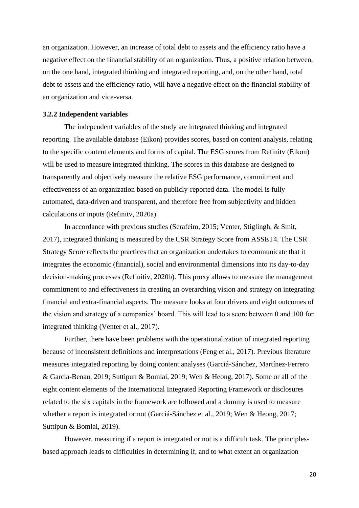an organization. However, an increase of total debt to assets and the efficiency ratio have a negative effect on the financial stability of an organization. Thus, a positive relation between, on the one hand, integrated thinking and integrated reporting, and, on the other hand, total debt to assets and the efficiency ratio, will have a negative effect on the financial stability of an organization and vice-versa.

#### **3.2.2 Independent variables**

The independent variables of the study are integrated thinking and integrated reporting. The available database (Eikon) provides scores, based on content analysis, relating to the specific content elements and forms of capital. The ESG scores from Refinitv (Eikon) will be used to measure integrated thinking. The scores in this database are designed to transparently and objectively measure the relative ESG performance, commitment and effectiveness of an organization based on publicly-reported data. The model is fully automated, data-driven and transparent, and therefore free from subjectivity and hidden calculations or inputs (Refinitv, 2020a).

In accordance with previous studies (Serafeim, 2015; Venter, Stiglingh, & Smit, 2017), integrated thinking is measured by the CSR Strategy Score from ASSET4. The CSR Strategy Score reflects the practices that an organization undertakes to communicate that it integrates the economic (financial), social and environmental dimensions into its day-to-day decision-making processes (Refinitiv, 2020b). This proxy allows to measure the management commitment to and effectiveness in creating an overarching vision and strategy on integrating financial and extra-financial aspects. The measure looks at four drivers and eight outcomes of the vision and strategy of a companies' board. This will lead to a score between 0 and 100 for integrated thinking (Venter et al., 2017).

Further, there have been problems with the operationalization of integrated reporting because of inconsistent definitions and interpretations (Feng et al., 2017). Previous literature measures integrated reporting by doing content analyses (Garciá-Sánchez, Martínez-Ferrero & Garcia-Benau, 2019; Suttipun & Bomlai, 2019; Wen & Heong, 2017). Some or all of the eight content elements of the International Integrated Reporting Framework or disclosures related to the six capitals in the framework are followed and a dummy is used to measure whether a report is integrated or not (Garciá-Sánchez et al., 2019; Wen & Heong, 2017; Suttipun & Bomlai, 2019).

However, measuring if a report is integrated or not is a difficult task. The principlesbased approach leads to difficulties in determining if, and to what extent an organization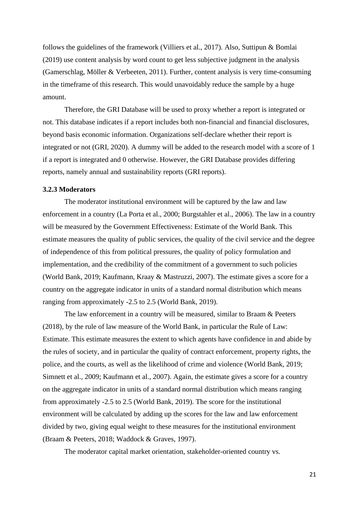follows the guidelines of the framework (Villiers et al., 2017). Also, Suttipun & Bomlai (2019) use content analysis by word count to get less subjective judgment in the analysis (Gamerschlag, Möller & Verbeeten, 2011). Further, content analysis is very time-consuming in the timeframe of this research. This would unavoidably reduce the sample by a huge amount.

Therefore, the GRI Database will be used to proxy whether a report is integrated or not. This database indicates if a report includes both non-financial and financial disclosures, beyond basis economic information. Organizations self-declare whether their report is integrated or not (GRI, 2020). A dummy will be added to the research model with a score of 1 if a report is integrated and 0 otherwise. However, the GRI Database provides differing reports, namely annual and sustainability reports (GRI reports).

#### **3.2.3 Moderators**

The moderator institutional environment will be captured by the law and law enforcement in a country (La Porta et al., 2000; Burgstahler et al., 2006). The law in a country will be measured by the Government Effectiveness: Estimate of the World Bank. This estimate measures the quality of public services, the quality of the civil service and the degree of independence of this from political pressures, the quality of policy formulation and implementation, and the credibility of the commitment of a government to such policies (World Bank, 2019; Kaufmann, Kraay & Mastruzzi, 2007). The estimate gives a score for a country on the aggregate indicator in units of a standard normal distribution which means ranging from approximately -2.5 to 2.5 (World Bank, 2019).

The law enforcement in a country will be measured, similar to Braam & Peeters (2018), by the rule of law measure of the World Bank, in particular the Rule of Law: Estimate. This estimate measures the extent to which agents have confidence in and abide by the rules of society, and in particular the quality of contract enforcement, property rights, the police, and the courts, as well as the likelihood of crime and violence (World Bank, 2019; Simnett et al., 2009; Kaufmann et al., 2007). Again, the estimate gives a score for a country on the aggregate indicator in units of a standard normal distribution which means ranging from approximately -2.5 to 2.5 (World Bank, 2019). The score for the institutional environment will be calculated by adding up the scores for the law and law enforcement divided by two, giving equal weight to these measures for the institutional environment (Braam & Peeters, 2018; Waddock & Graves, 1997).

The moderator capital market orientation, stakeholder-oriented country vs.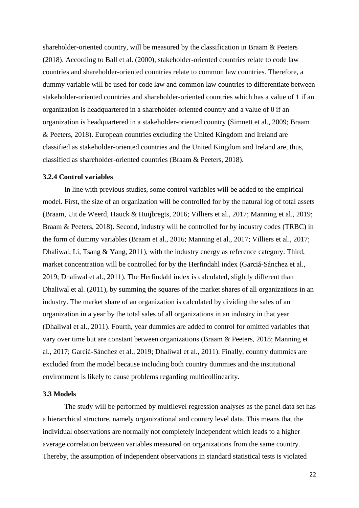shareholder-oriented country, will be measured by the classification in Braam & Peeters (2018). According to Ball et al. (2000), stakeholder-oriented countries relate to code law countries and shareholder-oriented countries relate to common law countries. Therefore, a dummy variable will be used for code law and common law countries to differentiate between stakeholder-oriented countries and shareholder-oriented countries which has a value of 1 if an organization is headquartered in a shareholder-oriented country and a value of 0 if an organization is headquartered in a stakeholder-oriented country (Simnett et al., 2009; Braam & Peeters, 2018). European countries excluding the United Kingdom and Ireland are classified as stakeholder-oriented countries and the United Kingdom and Ireland are, thus, classified as shareholder-oriented countries (Braam & Peeters, 2018).

#### **3.2.4 Control variables**

In line with previous studies, some control variables will be added to the empirical model. First, the size of an organization will be controlled for by the natural log of total assets (Braam, Uit de Weerd, Hauck & Huijbregts, 2016; Villiers et al., 2017; Manning et al., 2019; Braam & Peeters, 2018). Second, industry will be controlled for by industry codes (TRBC) in the form of dummy variables (Braam et al., 2016; Manning et al., 2017; Villiers et al., 2017; Dhaliwal, Li, Tsang & Yang, 2011), with the industry energy as reference category. Third, market concentration will be controlled for by the Herfindahl index (Garciá-Sánchez et al., 2019; Dhaliwal et al., 2011). The Herfindahl index is calculated, slightly different than Dhaliwal et al. (2011), by summing the squares of the market shares of all organizations in an industry. The market share of an organization is calculated by dividing the sales of an organization in a year by the total sales of all organizations in an industry in that year (Dhaliwal et al., 2011). Fourth, year dummies are added to control for omitted variables that vary over time but are constant between organizations (Braam & Peeters, 2018; Manning et al., 2017; Garciá-Sánchez et al., 2019; Dhaliwal et al., 2011). Finally, country dummies are excluded from the model because including both country dummies and the institutional environment is likely to cause problems regarding multicollinearity.

#### **3.3 Models**

The study will be performed by multilevel regression analyses as the panel data set has a hierarchical structure, namely organizational and country level data. This means that the individual observations are normally not completely independent which leads to a higher average correlation between variables measured on organizations from the same country. Thereby, the assumption of independent observations in standard statistical tests is violated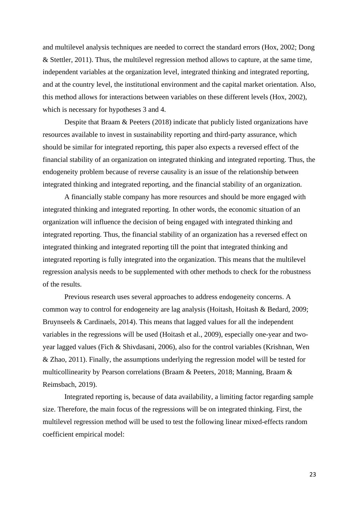and multilevel analysis techniques are needed to correct the standard errors (Hox, 2002; Dong & Stettler, 2011). Thus, the multilevel regression method allows to capture, at the same time, independent variables at the organization level, integrated thinking and integrated reporting, and at the country level, the institutional environment and the capital market orientation. Also, this method allows for interactions between variables on these different levels (Hox, 2002), which is necessary for hypotheses 3 and 4.

Despite that Braam & Peeters (2018) indicate that publicly listed organizations have resources available to invest in sustainability reporting and third-party assurance, which should be similar for integrated reporting, this paper also expects a reversed effect of the financial stability of an organization on integrated thinking and integrated reporting. Thus, the endogeneity problem because of reverse causality is an issue of the relationship between integrated thinking and integrated reporting, and the financial stability of an organization.

A financially stable company has more resources and should be more engaged with integrated thinking and integrated reporting. In other words, the economic situation of an organization will influence the decision of being engaged with integrated thinking and integrated reporting. Thus, the financial stability of an organization has a reversed effect on integrated thinking and integrated reporting till the point that integrated thinking and integrated reporting is fully integrated into the organization. This means that the multilevel regression analysis needs to be supplemented with other methods to check for the robustness of the results.

Previous research uses several approaches to address endogeneity concerns. A common way to control for endogeneity are lag analysis (Hoitash, Hoitash & Bedard, 2009; Bruynseels & Cardinaels, 2014). This means that lagged values for all the independent variables in the regressions will be used (Hoitash et al., 2009), especially one-year and twoyear lagged values (Fich & Shivdasani, 2006), also for the control variables (Krishnan, Wen & Zhao, 2011). Finally, the assumptions underlying the regression model will be tested for multicollinearity by Pearson correlations (Braam & Peeters, 2018; Manning, Braam & Reimsbach, 2019).

Integrated reporting is, because of data availability, a limiting factor regarding sample size. Therefore, the main focus of the regressions will be on integrated thinking. First, the multilevel regression method will be used to test the following linear mixed-effects random coefficient empirical model: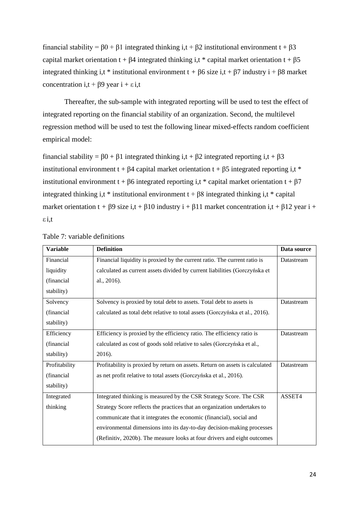financial stability =  $\beta$ 0 +  $\beta$ 1 integrated thinking i,t +  $\beta$ 2 institutional environment t +  $\beta$ 3 capital market orientation t + β4 integrated thinking i,t \* capital market orientation t + β5 integrated thinking i,t \* institutional environment  $t + \beta 6$  size i,t +  $\beta 7$  industry i +  $\beta 8$  market concentration i,t +  $\beta$ 9 year i + ε i,t

Thereafter, the sub-sample with integrated reporting will be used to test the effect of integrated reporting on the financial stability of an organization. Second, the multilevel regression method will be used to test the following linear mixed-effects random coefficient empirical model:

financial stability = β0 + β1 integrated thinking i,t + β2 integrated reporting i,t + β3 institutional environment t +  $\beta$ 4 capital market orientation t +  $\beta$ 5 integrated reporting i,t \* institutional environment t +  $\beta$ 6 integrated reporting i,t \* capital market orientation t +  $\beta$ 7 integrated thinking i,t \* institutional environment  $t + \beta 8$  integrated thinking i,t \* capital market orientation t +  $\beta$ 9 size i,t +  $\beta$ 10 industry i +  $\beta$ 11 market concentration i,t +  $\beta$ 12 year i + ε i,t

| <b>Variable</b> | <b>Definition</b>                                                            | Data source |
|-----------------|------------------------------------------------------------------------------|-------------|
| Financial       | Financial liquidity is proxied by the current ratio. The current ratio is    | Datastream  |
| liquidity       | calculated as current assets divided by current liabilities (Gorczyńska et   |             |
| (financial      | al., 2016).                                                                  |             |
| stability)      |                                                                              |             |
| Solvency        | Solvency is proxied by total debt to assets. Total debt to assets is         | Datastream  |
| (financial      | calculated as total debt relative to total assets (Gorczyńska et al., 2016). |             |
| stability)      |                                                                              |             |
| Efficiency      | Efficiency is proxied by the efficiency ratio. The efficiency ratio is       | Datastream  |
| (financial      | calculated as cost of goods sold relative to sales (Gorczyńska et al.,       |             |
| stability)      | 2016).                                                                       |             |
| Profitability   | Profitability is proxied by return on assets. Return on assets is calculated | Datastream  |
| (financial      | as net profit relative to total assets (Gorczyńska et al., 2016).            |             |
| stability)      |                                                                              |             |
| Integrated      | Integrated thinking is measured by the CSR Strategy Score. The CSR           | ASSET4      |
| thinking        | Strategy Score reflects the practices that an organization undertakes to     |             |
|                 | communicate that it integrates the economic (financial), social and          |             |
|                 | environmental dimensions into its day-to-day decision-making processes       |             |
|                 | (Refinitiv, 2020b). The measure looks at four drivers and eight outcomes     |             |

Table 7: variable definitions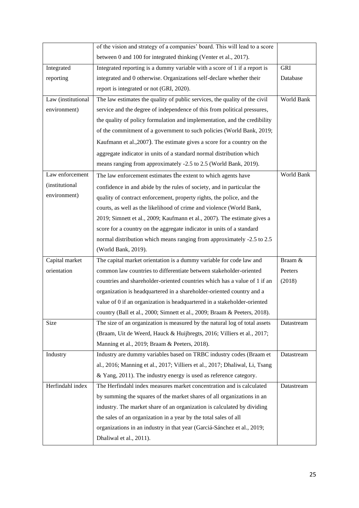|                        | of the vision and strategy of a companies' board. This will lead to a score |            |
|------------------------|-----------------------------------------------------------------------------|------------|
|                        | between 0 and 100 for integrated thinking (Venter et al., 2017).            |            |
| Integrated             | Integrated reporting is a dummy variable with a score of 1 if a report is   | <b>GRI</b> |
| reporting              | integrated and 0 otherwise. Organizations self-declare whether their        | Database   |
|                        | report is integrated or not (GRI, 2020).                                    |            |
| Law (institutional     | The law estimates the quality of public services, the quality of the civil  | World Bank |
| environment)           | service and the degree of independence of this from political pressures,    |            |
|                        | the quality of policy formulation and implementation, and the credibility   |            |
|                        | of the commitment of a government to such policies (World Bank, 2019;       |            |
|                        | Kaufmann et al., 2007). The estimate gives a score for a country on the     |            |
|                        | aggregate indicator in units of a standard normal distribution which        |            |
|                        | means ranging from approximately -2.5 to 2.5 (World Bank, 2019).            |            |
| Law enforcement        | The law enforcement estimates the extent to which agents have               | World Bank |
| <i>(institutional)</i> | confidence in and abide by the rules of society, and in particular the      |            |
| environment)           | quality of contract enforcement, property rights, the police, and the       |            |
|                        | courts, as well as the likelihood of crime and violence (World Bank,        |            |
|                        | 2019; Simnett et al., 2009; Kaufmann et al., 2007). The estimate gives a    |            |
|                        | score for a country on the aggregate indicator in units of a standard       |            |
|                        | normal distribution which means ranging from approximately -2.5 to 2.5      |            |
|                        | (World Bank, 2019).                                                         |            |
| Capital market         | The capital market orientation is a dummy variable for code law and         | Braam &    |
| orientation            | common law countries to differentiate between stakeholder-oriented          | Peeters    |
|                        | countries and shareholder-oriented countries which has a value of 1 if an   | (2018)     |
|                        | organization is headquartered in a shareholder-oriented country and a       |            |
|                        | value of 0 if an organization is headquartered in a stakeholder-oriented    |            |
|                        | country (Ball et al., 2000; Simnett et al., 2009; Braam & Peeters, 2018).   |            |
| Size                   | The size of an organization is measured by the natural log of total assets  | Datastream |
|                        | (Braam, Uit de Weerd, Hauck & Huijbregts, 2016; Villiers et al., 2017;      |            |
|                        | Manning et al., 2019; Braam & Peeters, 2018).                               |            |
| Industry               | Industry are dummy variables based on TRBC industry codes (Braam et         | Datastream |
|                        | al., 2016; Manning et al., 2017; Villiers et al., 2017; Dhaliwal, Li, Tsang |            |
|                        |                                                                             |            |
|                        | & Yang, 2011). The industry energy is used as reference category.           |            |
| Herfindahl index       | The Herfindahl index measures market concentration and is calculated        | Datastream |
|                        | by summing the squares of the market shares of all organizations in an      |            |
|                        | industry. The market share of an organization is calculated by dividing     |            |
|                        | the sales of an organization in a year by the total sales of all            |            |
|                        | organizations in an industry in that year (Garciá-Sánchez et al., 2019;     |            |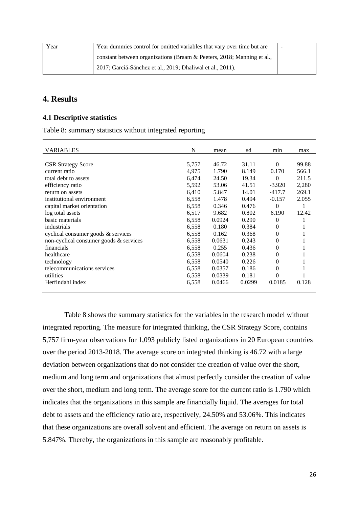| Year | Year dummies control for omitted variables that vary over time but are |  |
|------|------------------------------------------------------------------------|--|
|      | constant between organizations (Braam & Peeters, 2018; Manning et al., |  |
|      | 2017; Garciá-Sánchez et al., 2019; Dhaliwal et al., 2011).             |  |

### **4. Results**

#### **4.1 Descriptive statistics**

Table 8: summary statistics without integrated reporting

| <b>VARIABLES</b>                       | N     | mean   | sd     | min            | max   |
|----------------------------------------|-------|--------|--------|----------------|-------|
|                                        |       |        |        |                |       |
| <b>CSR Strategy Score</b>              | 5,757 | 46.72  | 31.11  | $\Omega$       | 99.88 |
| current ratio                          | 4,975 | 1.790  | 8.149  | 0.170          | 566.1 |
| total debt to assets                   | 6,474 | 24.50  | 19.34  | $\Omega$       | 211.5 |
| efficiency ratio                       | 5,592 | 53.06  | 41.51  | $-3.920$       | 2,280 |
| return on assets                       | 6,410 | 5.847  | 14.01  | $-417.7$       | 269.1 |
| institutional environment              | 6,558 | 1.478  | 0.494  | $-0.157$       | 2.055 |
| capital market orientation             | 6,558 | 0.346  | 0.476  | $\Omega$       |       |
| log total assets                       | 6,517 | 9.682  | 0.802  | 6.190          | 12.42 |
| basic materials                        | 6,558 | 0.0924 | 0.290  | $\theta$       |       |
| industrials                            | 6,558 | 0.180  | 0.384  | $\theta$       |       |
| cyclical consumer goods $&$ services   | 6,558 | 0.162  | 0.368  | $\overline{0}$ |       |
| non-cyclical consumer goods & services | 6,558 | 0.0631 | 0.243  | $\theta$       |       |
| financials                             | 6,558 | 0.255  | 0.436  | $\theta$       |       |
| healthcare                             | 6,558 | 0.0604 | 0.238  | $\theta$       |       |
| technology                             | 6,558 | 0.0540 | 0.226  | $\theta$       |       |
| telecommunications services            | 6,558 | 0.0357 | 0.186  | $\overline{0}$ |       |
| utilities                              | 6,558 | 0.0339 | 0.181  | $\theta$       |       |
| Herfindahl index                       | 6,558 | 0.0466 | 0.0299 | 0.0185         | 0.128 |
|                                        |       |        |        |                |       |

Table 8 shows the summary statistics for the variables in the research model without integrated reporting. The measure for integrated thinking, the CSR Strategy Score, contains 5,757 firm-year observations for 1,093 publicly listed organizations in 20 European countries over the period 2013-2018. The average score on integrated thinking is 46.72 with a large deviation between organizations that do not consider the creation of value over the short, medium and long term and organizations that almost perfectly consider the creation of value over the short, medium and long term. The average score for the current ratio is 1.790 which indicates that the organizations in this sample are financially liquid. The averages for total debt to assets and the efficiency ratio are, respectively, 24.50% and 53.06%. This indicates that these organizations are overall solvent and efficient. The average on return on assets is 5.847%. Thereby, the organizations in this sample are reasonably profitable.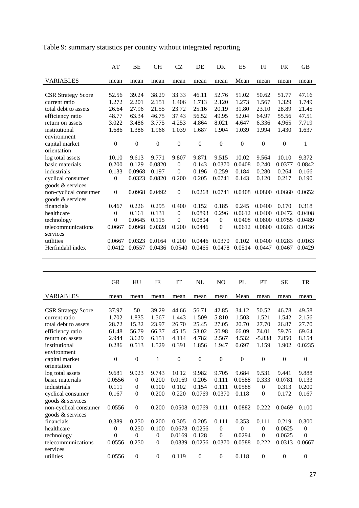|                                            | AT               | BE               | <b>CH</b>        | CZ               | DE             | DK             | ES               | FI             | <b>FR</b>        | <b>GB</b>      |
|--------------------------------------------|------------------|------------------|------------------|------------------|----------------|----------------|------------------|----------------|------------------|----------------|
| <b>VARIABLES</b>                           | mean             | mean             | mean             | mean             | mean           | mean           | Mean             | mean           | mean             | mean           |
| <b>CSR Strategy Score</b><br>current ratio | 52.56<br>1.272   | 39.24<br>2.201   | 38.29<br>2.151   | 33.33<br>1.406   | 46.11<br>1.713 | 52.76<br>2.120 | 51.02<br>1.273   | 50.62<br>1.567 | 51.77<br>1.329   | 47.16<br>1.749 |
| total debt to assets                       | 26.64            | 27.96            | 21.55            | 23.72            | 25.16          | 20.19          | 31.80            | 23.10          | 28.89            | 21.45          |
| efficiency ratio                           | 48.77            | 63.34            | 46.75            | 37.43            | 56.52          | 49.95          | 52.04            | 64.97          | 55.56            | 47.51          |
| return on assets                           | 3.022            | 3.486            | 3.775            | 4.253            | 4.864          | 8.021          | 4.647            | 6.336          | 4.965            | 7.719          |
| institutional                              | 1.686            | 1.386            | 1.966            | 1.039            | 1.687          | 1.904          | 1.039            | 1.994          | 1.430            | 1.637          |
| environment                                |                  |                  |                  |                  |                |                |                  |                |                  |                |
| capital market<br>orientation              | $\boldsymbol{0}$ | $\boldsymbol{0}$ | $\boldsymbol{0}$ | $\boldsymbol{0}$ | $\mathbf{0}$   | $\mathbf{0}$   | $\boldsymbol{0}$ | $\mathbf{0}$   | $\boldsymbol{0}$ | 1              |
| log total assets                           | 10.10            | 9.613            | 9.771            | 9.807            | 9.871          | 9.515          | 10.02            | 9.564          | 10.10            | 9.372          |
| basic materials                            | 0.200            | 0.129            | 0.0820           | $\theta$         | 0.143          | 0.0370         | 0.0408           | 0.240          | 0.0377           | 0.0842         |
| industrials                                | 0.133            | 0.0968           | 0.197            | $\Omega$         | 0.196          | 0.259          | 0.184            | 0.280          | 0.264            | 0.166          |
| cyclical consumer<br>goods & services      | $\mathbf{0}$     | 0.0323           | 0.0820           | 0.200            | 0.205          | 0.0741         | 0.143            | 0.120          | 0.217            | 0.190          |
| non-cyclical consumer<br>goods & services  | $\overline{0}$   | 0.0968           | 0.0492           | $\boldsymbol{0}$ | 0.0268         | 0.0741         | 0.0408           | 0.0800         | 0.0660           | 0.0652         |
| financials                                 | 0.467            | 0.226            | 0.295            | 0.400            | 0.152          | 0.185          | 0.245            | 0.0400         | 0.170            | 0.318          |
| healthcare                                 | $\theta$         | 0.161            | 0.131            | $\mathbf{0}$     | 0.0893         | 0.296          | 0.0612           | 0.0400         | 0.0472           | 0.0408         |
| technology                                 | $\Omega$         | 0.0645           | 0.115            | $\Omega$         | 0.0804         | $\overline{0}$ | 0.0408           | 0.0800         | 0.0755           | 0.0489         |
| telecommunications                         | 0.0667           | 0.0968           | 0.0328           | 0.200            | 0.0446         | $\overline{0}$ | 0.0612           | 0.0800         | 0.0283           | 0.0136         |
| services                                   |                  |                  |                  |                  |                |                |                  |                |                  |                |
| utilities                                  | 0.0667           | 0.0323           | 0.0164           | 0.200            | 0.0446         | 0.0370         | 0.102            | 0.0400         | 0.0283           | 0.0163         |
| Herfindahl index                           | 0.0412           | 0.0557           | 0.0436           | 0.0540           | 0.0465         | 0.0478         | 0.0514           | 0.0447         | 0.0467           | 0.0429         |
|                                            |                  |                  |                  |                  |                |                |                  |                |                  |                |

Table 9: summary statistics per country without integrated reporting

|                           | GR               | HU               | IE             | IT               | NL               | N <sub>O</sub> | PL               | PT               | SЕ               | TR               |
|---------------------------|------------------|------------------|----------------|------------------|------------------|----------------|------------------|------------------|------------------|------------------|
| <b>VARIABLES</b>          | mean             | mean             | mean           | mean             | mean             | mean           | Mean             | mean             | mean             | mean             |
|                           |                  |                  |                |                  |                  |                |                  |                  |                  |                  |
| <b>CSR Strategy Score</b> | 37.97            | 50               | 39.29          | 44.66            | 56.71            | 42.85          | 34.12            | 50.52            | 46.78            | 49.58            |
| current ratio             | 1.702            | 1.835            | 1.567          | 1.443            | 1.509            | 5.810          | 1.503            | 1.521            | 1.542            | 2.156            |
| total debt to assets      | 28.72            | 15.32            | 23.97          | 26.70            | 25.45            | 27.05          | 20.70            | 27.70            | 26.87            | 27.70            |
| efficiency ratio          | 61.48            | 56.79            | 66.37          | 45.15            | 53.02            | 50.98          | 66.09            | 74.01            | 59.76            | 69.64            |
| return on assets          | 2.944            | 3.629            | 6.151          | 4.114            | 4.782            | 2.567          | 4.532            | $-5.838$         | 7.850            | 8.154            |
| institutional             | 0.286            | 0.513            | 1.529          | 0.391            | 1.856            | 1.947          | 0.697            | 1.159            | 1.902            | 0.0235           |
| environment               |                  |                  |                |                  |                  |                |                  |                  |                  |                  |
| capital market            | $\boldsymbol{0}$ | $\boldsymbol{0}$ | $\mathbf{1}$   | $\boldsymbol{0}$ | $\boldsymbol{0}$ | $\overline{0}$ | $\boldsymbol{0}$ | $\boldsymbol{0}$ | $\boldsymbol{0}$ | $\boldsymbol{0}$ |
| orientation               |                  |                  |                |                  |                  |                |                  |                  |                  |                  |
| log total assets          | 9.681            | 9.923            | 9.743          | 10.12            | 9.982            | 9.705          | 9.684            | 9.531            | 9.441            | 9.888            |
| basic materials           | 0.0556           | $\overline{0}$   | 0.200          | 0.0169           | 0.205            | 0.111          | 0.0588           | 0.333            | 0.0781           | 0.133            |
| industrials               | 0.111            | $\theta$         | 0.100          | 0.102            | 0.154            | 0.111          | 0.0588           | $\theta$         | 0.313            | 0.200            |
| cyclical consumer         | 0.167            | $\overline{0}$   | 0.200          | 0.220            | 0.0769           | 0.0370         | 0.118            | $\theta$         | 0.172            | 0.167            |
| goods & services          |                  |                  |                |                  |                  |                |                  |                  |                  |                  |
| non-cyclical consumer     | 0.0556           | $\overline{0}$   | 0.200          | 0.0508           | 0.0769           | 0.111          | 0.0882           | 0.222            | 0.0469           | 0.100            |
| goods & services          |                  |                  |                |                  |                  |                |                  |                  |                  |                  |
| financials                | 0.389            | 0.250            | 0.200          | 0.305            | 0.205            | 0.111          | 0.353            | 0.111            | 0.219            | 0.300            |
| healthcare                | $\theta$         | 0.250            | 0.100          | 0.0678           | 0.0256           | $\theta$       | $\theta$         | $\overline{0}$   | 0.0625           | $\theta$         |
| technology                | $\Omega$         | 0                | $\overline{0}$ | 0.0169           | 0.128            | $\mathbf{0}$   | 0.0294           | $\theta$         | 0.0625           | $\theta$         |
| telecommunications        | 0.0556           | 0.250            | $\mathbf{0}$   | 0.0339           | 0.0256           | 0.0370         | 0.0588           | 0.222            | 0.0313           | 0.0667           |
| services                  |                  |                  |                |                  |                  |                |                  |                  |                  |                  |
| utilities                 | 0.0556           | $\Omega$         | $\Omega$       | 0.119            | $\Omega$         | $\Omega$       | 0.118            | $\theta$         | $\theta$         | $\theta$         |
|                           |                  |                  |                |                  |                  |                |                  |                  |                  |                  |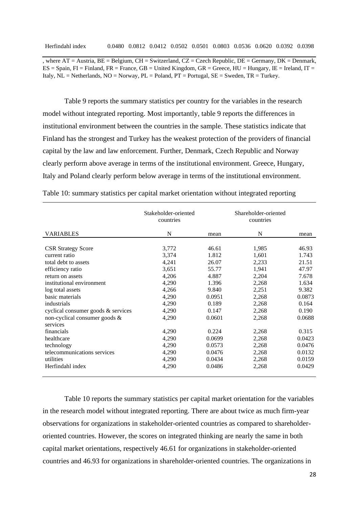, where  $AT =$  Austria,  $BE =$  Belgium,  $CH =$  Switzerland,  $CZ =$  Czech Republic,  $DE =$  Germany,  $DK =$  Denmark,  $ES = Spain$ ,  $FI = Finland$ ,  $FR = France$ ,  $GB = United Kingdom$ ,  $GR = Greece$ ,  $HU = Hungary$ ,  $IE = Ireland$ ,  $IT =$ Italy,  $NL = Netherlands$ ,  $NO = Norway$ ,  $PL = Poland$ ,  $PT = Portugal$ ,  $SE = Sweden$ ,  $TR = Turkey$ .

Table 9 reports the summary statistics per country for the variables in the research model without integrated reporting. Most importantly, table 9 reports the differences in institutional environment between the countries in the sample. These statistics indicate that Finland has the strongest and Turkey has the weakest protection of the providers of financial capital by the law and law enforcement. Further, Denmark, Czech Republic and Norway clearly perform above average in terms of the institutional environment. Greece, Hungary, Italy and Poland clearly perform below average in terms of the institutional environment.

|                                                                                                                                                                                                                                                                                  | Stakeholder-oriented<br>countries                                                               |                                                                                                   | Shareholder-oriented<br>countries                                                               |                                                                                                   |
|----------------------------------------------------------------------------------------------------------------------------------------------------------------------------------------------------------------------------------------------------------------------------------|-------------------------------------------------------------------------------------------------|---------------------------------------------------------------------------------------------------|-------------------------------------------------------------------------------------------------|---------------------------------------------------------------------------------------------------|
| <b>VARIABLES</b>                                                                                                                                                                                                                                                                 | N                                                                                               | mean                                                                                              | N                                                                                               | mean                                                                                              |
| <b>CSR Strategy Score</b><br>current ratio<br>total debt to assets<br>efficiency ratio<br>return on assets<br>institutional environment<br>log total assets<br>basic materials<br>industrials<br>cyclical consumer goods & services<br>non-cyclical consumer goods &<br>services | 3,772<br>3,374<br>4,241<br>3,651<br>4,206<br>4,290<br>4,266<br>4,290<br>4,290<br>4,290<br>4,290 | 46.61<br>1.812<br>26.07<br>55.77<br>4.887<br>1.396<br>9.840<br>0.0951<br>0.189<br>0.147<br>0.0601 | 1,985<br>1,601<br>2,233<br>1,941<br>2,204<br>2,268<br>2,251<br>2,268<br>2,268<br>2,268<br>2,268 | 46.93<br>1.743<br>21.51<br>47.97<br>7.678<br>1.634<br>9.382<br>0.0873<br>0.164<br>0.190<br>0.0688 |
| financials<br>healthcare                                                                                                                                                                                                                                                         | 4,290<br>4,290                                                                                  | 0.224<br>0.0699                                                                                   | 2,268<br>2,268                                                                                  | 0.315<br>0.0423                                                                                   |
| technology<br>telecommunications services<br>utilities                                                                                                                                                                                                                           | 4,290<br>4,290<br>4,290                                                                         | 0.0573<br>0.0476<br>0.0434                                                                        | 2,268<br>2,268<br>2,268                                                                         | 0.0476<br>0.0132<br>0.0159                                                                        |
| Herfindahl index                                                                                                                                                                                                                                                                 | 4,290                                                                                           | 0.0486                                                                                            | 2,268                                                                                           | 0.0429                                                                                            |

Table 10: summary statistics per capital market orientation without integrated reporting

Table 10 reports the summary statistics per capital market orientation for the variables in the research model without integrated reporting. There are about twice as much firm-year observations for organizations in stakeholder-oriented countries as compared to shareholderoriented countries. However, the scores on integrated thinking are nearly the same in both capital market orientations, respectively 46.61 for organizations in stakeholder-oriented countries and 46.93 for organizations in shareholder-oriented countries. The organizations in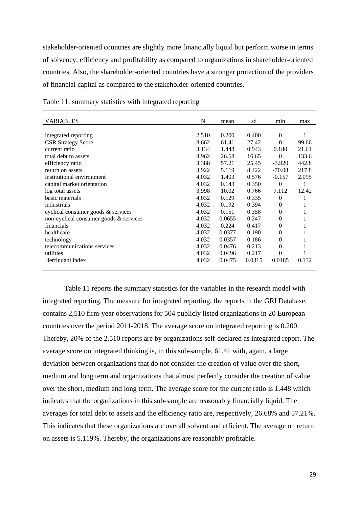stakeholder-oriented countries are slightly more financially liquid but perform worse in terms of solvency, efficiency and profitability as compared to organizations in shareholder-oriented countries. Also, the shareholder-oriented countries have a stronger protection of the providers of financial capital as compared to the stakeholder-oriented countries.

| <b>VARIABLES</b>                       | N     | mean   | sd     | min      | max   |
|----------------------------------------|-------|--------|--------|----------|-------|
|                                        |       |        |        |          |       |
| integrated reporting                   | 2,510 | 0.200  | 0.400  | $\Omega$ |       |
| <b>CSR Strategy Score</b>              | 3,662 | 61.41  | 27.42  | $\Omega$ | 99.66 |
| current ratio                          | 3,134 | 1.448  | 0.943  | 0.180    | 21.61 |
| total debt to assets                   | 3,962 | 26.68  | 16.65  | $\Omega$ | 133.6 |
| efficiency ratio                       | 3,388 | 57.21  | 25.45  | $-3.920$ | 442.8 |
| return on assets                       | 3,922 | 5.119  | 8.422  | $-70.08$ | 217.8 |
| institutional environment              | 4,032 | 1.403  | 0.576  | $-0.157$ | 2.095 |
| capital market orientation             | 4,032 | 0.143  | 0.350  | $\theta$ | 1     |
| log total assets                       | 3,998 | 10.02  | 0.766  | 7.112    | 12.42 |
| basic materials                        | 4,032 | 0.129  | 0.335  | $\Omega$ |       |
| industrials                            | 4,032 | 0.192  | 0.394  | $\theta$ |       |
| cyclical consumer goods $&$ services   | 4,032 | 0.151  | 0.358  | $\theta$ |       |
| non-cyclical consumer goods & services | 4,032 | 0.0655 | 0.247  | $\Omega$ |       |
| financials                             | 4,032 | 0.224  | 0.417  | $\theta$ |       |
| healthcare                             | 4,032 | 0.0377 | 0.190  | $\theta$ |       |
| technology                             | 4,032 | 0.0357 | 0.186  | $\Omega$ |       |
| telecommunications services            | 4,032 | 0.0476 | 0.213  | $\theta$ |       |
| utilities                              | 4,032 | 0.0496 | 0.217  | $\theta$ |       |
| Herfindahl index                       | 4,032 | 0.0475 | 0.0315 | 0.0185   | 0.132 |
|                                        |       |        |        |          |       |

Table 11: summary statistics with integrated reporting

Table 11 reports the summary statistics for the variables in the research model with integrated reporting. The measure for integrated reporting, the reports in the GRI Database, contains 2,510 firm-year observations for 504 publicly listed organizations in 20 European countries over the period 2011-2018. The average score on integrated reporting is 0.200. Thereby, 20% of the 2,510 reports are by organizations self-declared as integrated report. The average score on integrated thinking is, in this sub-sample, 61.41 with, again, a large deviation between organizations that do not consider the creation of value over the short, medium and long term and organizations that almost perfectly consider the creation of value over the short, medium and long term. The average score for the current ratio is 1.448 which indicates that the organizations in this sub-sample are reasonably financially liquid. The averages for total debt to assets and the efficiency ratio are, respectively, 26.68% and 57.21%. This indicates that these organizations are overall solvent and efficient. The average on return on assets is 5.119%. Thereby, the organizations are reasonably profitable.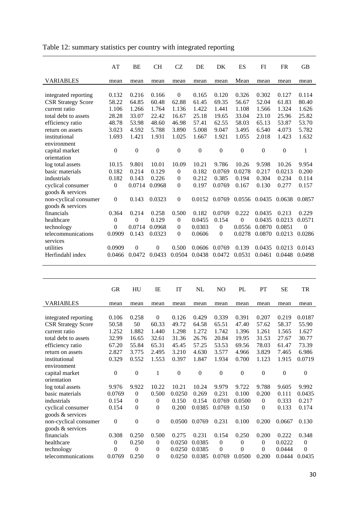|                           | AT             | BE           | <b>CH</b>    | <b>CZ</b>    | DE             | DK             | ES           | FI               | <b>FR</b>    | <b>GB</b>      |
|---------------------------|----------------|--------------|--------------|--------------|----------------|----------------|--------------|------------------|--------------|----------------|
| <b>VARIABLES</b>          | mean           | mean         | mean         | mean         | mean           | mean           | Mean         | mean             | mean         | mean           |
|                           |                |              |              |              |                |                |              |                  |              |                |
| integrated reporting      | 0.132          | 0.216        | 0.166        | $\Omega$     | 0.165          | 0.120          | 0.326        | 0.302            | 0.127        | 0.114          |
| <b>CSR Strategy Score</b> | 58.22          | 64.85        | 60.48        | 62.88        | 61.45          | 69.35          | 56.67        | 52.04            | 61.83        | 80.40          |
| current ratio             | 1.106          | 1.266        | 1.764        | 1.136        | 1.422          | 1.441          | 1.108        | 1.566            | 1.324        | 1.626          |
| total debt to assets      | 28.28          | 33.07        | 22.42        | 16.67        | 25.18          | 19.65          | 33.04        | 23.10            | 25.96        | 25.82          |
| efficiency ratio          | 48.78          | 53.98        | 48.60        | 46.98        | 57.41          | 62.55          | 58.03        | 65.13            | 53.87        | 53.70          |
| return on assets          | 3.023          | 4.592        | 5.788        | 3.890        | 5.008          | 9.047          | 3.495        | 6.540            | 4.073        | 5.782          |
| institutional             | 1.693          | 1.421        | 1.931        | 1.025        | 1.667          | 1.921          | 1.055        | 2.018            | 1.423        | 1.632          |
| environment               |                |              |              |              |                |                |              |                  |              |                |
| capital market            | $\mathbf{0}$   | $\mathbf{0}$ | $\mathbf{0}$ | $\mathbf{0}$ | $\overline{0}$ | $\mathbf{0}$   | $\mathbf{0}$ | $\boldsymbol{0}$ | $\mathbf{0}$ | 1              |
| orientation               |                |              |              |              |                |                |              |                  |              |                |
| log total assets          | 10.15          | 9.801        | 10.01        | 10.09        | 10.21          | 9.786          | 10.26        | 9.598            | 10.26        | 9.954          |
| basic materials           | 0.182          | 0.214        | 0.129        | $\mathbf{0}$ | 0.182          | 0.0769         | 0.0278       | 0.217            | 0.0213       | 0.200          |
| industrials               | 0.182          | 0.143        | 0.226        | $\mathbf{0}$ | 0.212          | 0.385          | 0.194        | 0.304            | 0.234        | 0.114          |
| cyclical consumer         | $\theta$       | 0.0714       | 0.0968       | $\mathbf{0}$ | 0.197          | 0.0769         | 0.167        | 0.130            | 0.277        | 0.157          |
| goods & services          |                |              |              |              |                |                |              |                  |              |                |
| non-cyclical consumer     | $\overline{0}$ | 0.143        | 0.0323       | $\mathbf{0}$ | 0.0152         | 0.0769         | 0.0556       | 0.0435           | 0.0638       | 0.0857         |
| goods & services          |                |              |              |              |                |                |              |                  |              |                |
| financials                | 0.364          | 0.214        | 0.258        | 0.500        | 0.182          | 0.0769         | 0.222        | 0.0435           | 0.213        | 0.229          |
| healthcare                | $\theta$       | $\theta$     | 0.129        | $\mathbf{0}$ | 0.0455         | 0.154          | $\theta$     | 0.0435           | 0.0213       | 0.0571         |
| technology                | 0              | 0.0714       | 0.0968       | $\mathbf{0}$ | 0.0303         | $\overline{0}$ | 0.0556       | 0.0870           | 0.0851       | $\overline{0}$ |
| telecommunications        | 0.0909         | 0.143        | 0.0323       | $\Omega$     | 0.0606         | $\theta$       | 0.0278       | 0.0870           | 0.0213       | 0.0286         |
| services                  |                |              |              |              |                |                |              |                  |              |                |
| utilities                 | 0.0909         | $\theta$     | $\Omega$     | 0.500        | 0.0606         | 0.0769         | 0.139        | 0.0435           | 0.0213       | 0.0143         |
| Herfindahl index          | 0.0466         | 0.0472       | 0.0433       | 0.0504       | 0.0438         | 0.0472         | 0.0531       | 0.0461           | 0.0448       | 0.0498         |
|                           |                |              |              |              |                |                |              |                  |              |                |

| Table 12: summary statistics per country with integrated reporting |
|--------------------------------------------------------------------|
|--------------------------------------------------------------------|

|                           | <b>GR</b>    | HU               | IE               | IT       | NL       | N <sub>O</sub> | PL           | PT               | <b>SE</b>        | <b>TR</b>      |
|---------------------------|--------------|------------------|------------------|----------|----------|----------------|--------------|------------------|------------------|----------------|
| <b>VARIABLES</b>          | mean         | mean             | mean             | mean     | mean     | mean           | mean         | mean             | mean             | mean           |
|                           |              |                  |                  |          |          |                |              |                  |                  |                |
| integrated reporting      | 0.106        | 0.258            | $\overline{0}$   | 0.126    | 0.429    | 0.339          | 0.391        | 0.207            | 0.219            | 0.0187         |
| <b>CSR Strategy Score</b> | 50.58        | 50               | 60.33            | 49.72    | 64.58    | 65.51          | 47.40        | 57.62            | 58.37            | 55.90          |
| current ratio             | 1.252        | 1.882            | 1.440            | 1.298    | 1.272    | 1.742          | 1.396        | 1.261            | 1.565            | 1.627          |
| total debt to assets      | 32.99        | 16.65            | 32.61            | 31.36    | 26.76    | 20.84          | 19.95        | 31.53            | 27.67            | 30.77          |
| efficiency ratio          | 67.20        | 55.84            | 65.31            | 45.45    | 57.25    | 53.53          | 69.56        | 78.03            | 61.47            | 73.39          |
| return on assets          | 2.827        | 3.775            | 2.495            | 3.210    | 4.630    | 3.577          | 4.966        | 3.829            | 7.465            | 6.986          |
| institutional             | 0.329        | 0.552            | 1.553            | 0.397    | 1.847    | 1.934          | 0.700        | 1.123            | 1.915            | 0.0719         |
| environment               |              |                  |                  |          |          |                |              |                  |                  |                |
| capital market            | $\theta$     | $\boldsymbol{0}$ | $\mathbf{1}$     | $\theta$ | $\theta$ | $\Omega$       | $\mathbf{0}$ | $\theta$         | $\boldsymbol{0}$ | $\mathbf{0}$   |
| orientation               |              |                  |                  |          |          |                |              |                  |                  |                |
| log total assets          | 9.976        | 9.922            | 10.22            | 10.21    | 10.24    | 9.979          | 9.722        | 9.788            | 9.605            | 9.992          |
| basic materials           | 0.0769       | $\Omega$         | 0.500            | 0.0250   | 0.269    | 0.231          | 0.100        | 0.200            | 0.111            | 0.0435         |
| industrials               | 0.154        | $\theta$         | $\theta$         | 0.150    | 0.154    | 0.0769         | 0.0500       | $\mathbf{0}$     | 0.333            | 0.217          |
| cyclical consumer         | 0.154        | $\theta$         | $\overline{0}$   | 0.200    | 0.0385   | 0.0769         | 0.150        | $\mathbf{0}$     | 0.133            | 0.174          |
| goods & services          |              |                  |                  |          |          |                |              |                  |                  |                |
| non-cyclical consumer     | $\mathbf{0}$ | $\theta$         | $\mathbf{0}$     | 0.0500   | 0.0769   | 0.231          | 0.100        | 0.200            | 0.0667           | 0.130          |
| goods & services          |              |                  |                  |          |          |                |              |                  |                  |                |
| financials                | 0.308        | 0.250            | 0.500            | 0.275    | 0.231    | 0.154          | 0.250        | 0.200            | 0.222            | 0.348          |
| healthcare                | $\theta$     | 0.250            | $\theta$         | 0.0250   | 0.0385   | $\Omega$       | $\theta$     | $\mathbf{0}$     | 0.0222           | $\theta$       |
| technology                | $\theta$     | $\Omega$         | $\Omega$         | 0.0250   | 0.0385   | $\theta$       | $\theta$     | $\boldsymbol{0}$ | 0.0444           | $\overline{0}$ |
| telecommunications        | 0.0769       | 0.250            | $\boldsymbol{0}$ | 0.0250   | 0.0385   | 0.0769         | 0.0500       | 0.200            | 0.0444           | 0.0435         |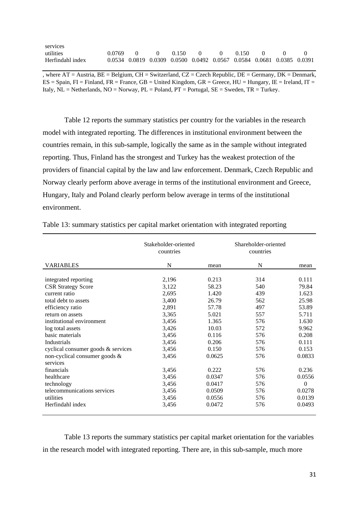| services         |            |                                      |  |  |                                                                       |  |
|------------------|------------|--------------------------------------|--|--|-----------------------------------------------------------------------|--|
| utilities        | $0.0769$ 0 | $0 \t 0.150 \t 0 \t 0 \t 0.150 \t 0$ |  |  |                                                                       |  |
| Herfindahl index |            |                                      |  |  | 0.0534 0.0819 0.0309 0.0500 0.0492 0.0567 0.0584 0.0681 0.0385 0.0391 |  |

, where  $AT =$  Austria,  $BE =$  Belgium,  $CH =$  Switzerland,  $CZ =$  Czech Republic,  $DE =$  Germany,  $DK =$  Denmark,  $ES = Spain$ ,  $FI = Finland$ ,  $FR = France$ ,  $GB = United Kingdom$ ,  $GR = Greece$ ,  $HU = Hungary$ ,  $IE = Ireland$ ,  $IT =$ Italy,  $NL = Netherlands$ ,  $NO = Norway$ ,  $PL = Poland$ ,  $PT = Portugal$ ,  $SE = Sweden$ ,  $TR = Turkey$ .

Table 12 reports the summary statistics per country for the variables in the research model with integrated reporting. The differences in institutional environment between the countries remain, in this sub-sample, logically the same as in the sample without integrated reporting. Thus, Finland has the strongest and Turkey has the weakest protection of the providers of financial capital by the law and law enforcement. Denmark, Czech Republic and Norway clearly perform above average in terms of the institutional environment and Greece, Hungary, Italy and Poland clearly perform below average in terms of the institutional environment.

|                                                                                                                                                                                                                                                                                                            | Stakeholder-oriented<br>countries                                                                        |                                                                                                           | Shareholder-oriented<br>countries                                                |                                                                                                           |
|------------------------------------------------------------------------------------------------------------------------------------------------------------------------------------------------------------------------------------------------------------------------------------------------------------|----------------------------------------------------------------------------------------------------------|-----------------------------------------------------------------------------------------------------------|----------------------------------------------------------------------------------|-----------------------------------------------------------------------------------------------------------|
| <b>VARIABLES</b>                                                                                                                                                                                                                                                                                           | N                                                                                                        | mean                                                                                                      | N                                                                                | mean                                                                                                      |
| integrated reporting<br><b>CSR Strategy Score</b><br>current ratio<br>total debt to assets<br>efficiency ratio<br>return on assets<br>institutional environment<br>log total assets<br>basic materials<br>Industrials<br>cyclical consumer goods $&$ services<br>non-cyclical consumer goods &<br>services | 2,196<br>3,122<br>2,695<br>3,400<br>2,891<br>3,365<br>3,456<br>3,426<br>3,456<br>3,456<br>3,456<br>3,456 | 0.213<br>58.23<br>1.420<br>26.79<br>57.78<br>5.021<br>1.365<br>10.03<br>0.116<br>0.206<br>0.150<br>0.0625 | 314<br>540<br>439<br>562<br>497<br>557<br>576<br>572<br>576<br>576<br>576<br>576 | 0.111<br>79.84<br>1.623<br>25.98<br>53.89<br>5.711<br>1.630<br>9.962<br>0.208<br>0.111<br>0.153<br>0.0833 |
| financials<br>healthcare<br>technology<br>telecommunications services<br>utilities<br>Herfindahl index                                                                                                                                                                                                     | 3,456<br>3,456<br>3,456<br>3,456<br>3,456<br>3,456                                                       | 0.222<br>0.0347<br>0.0417<br>0.0509<br>0.0556<br>0.0472                                                   | 576<br>576<br>576<br>576<br>576<br>576                                           | 0.236<br>0.0556<br>$\theta$<br>0.0278<br>0.0139<br>0.0493                                                 |

Table 13: summary statistics per capital market orientation with integrated reporting

Table 13 reports the summary statistics per capital market orientation for the variables in the research model with integrated reporting. There are, in this sub-sample, much more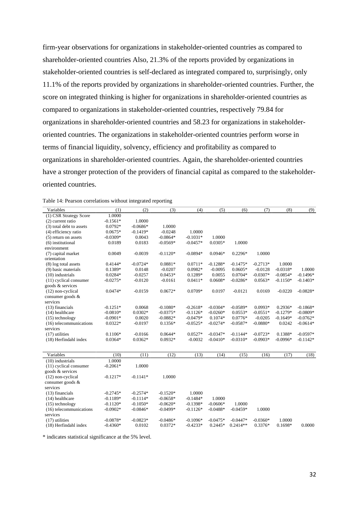firm-year observations for organizations in stakeholder-oriented countries as compared to shareholder-oriented countries Also, 21.3% of the reports provided by organizations in stakeholder-oriented countries is self-declared as integrated compared to, surprisingly, only 11.1% of the reports provided by organizations in shareholder-oriented countries. Further, the score on integrated thinking is higher for organizations in shareholder-oriented countries as compared to organizations in stakeholder-oriented countries, respectively 79.84 for organizations in shareholder-oriented countries and 58.23 for organizations in stakeholderoriented countries. The organizations in stakeholder-oriented countries perform worse in terms of financial liquidity, solvency, efficiency and profitability as compared to organizations in shareholder-oriented countries. Again, the shareholder-oriented countries have a stronger protection of the providers of financial capital as compared to the stakeholderoriented countries.

| Table 14: Pearson correlations without integrated reporting |  |  |
|-------------------------------------------------------------|--|--|
|                                                             |  |  |

| Variables                | (1)        | (2)        | (3)        | (4)        | (5)        | (6)        | (7)        | (8)        | (9)        |
|--------------------------|------------|------------|------------|------------|------------|------------|------------|------------|------------|
| (1) CSR Strategy Score   | 1.0000     |            |            |            |            |            |            |            |            |
| (2) current ratio        | $-0.1561*$ | 1.0000     |            |            |            |            |            |            |            |
| (3) total debt to assets | $0.0792*$  | $-0.0686*$ | 1.0000     |            |            |            |            |            |            |
| (4) efficiency ratio     | $0.0675*$  | $-0.1419*$ | $-0.0248$  | 1.0000     |            |            |            |            |            |
| $(5)$ return on assets   | $-0.0309*$ | 0.0043     | $-0.0864*$ | $-0.1031*$ | 1.0000     |            |            |            |            |
| (6) institutional        | 0.0189     | 0.0183     | $-0.0569*$ | $-0.0457*$ | $0.0305*$  | 1.0000     |            |            |            |
| environment              |            |            |            |            |            |            |            |            |            |
| (7) capital market       | 0.0049     | $-0.0039$  | $-0.1120*$ | $-0.0894*$ | $0.0946*$  | $0.2296*$  | 1.0000     |            |            |
| orientation              |            |            |            |            |            |            |            |            |            |
| (8) log total assets     | $0.4144*$  | $-0.0724*$ | $0.0881*$  | $0.0711*$  | $-0.1288*$ | $-0.1475*$ | $-0.2713*$ | 1.0000     |            |
| (9) basic materials      | 0.1389*    | 0.0148     | $-0.0207$  | $0.0982*$  | $-0.0095$  | $0.0605*$  | $-0.0128$  | $-0.0318*$ | 1.0000     |
| $(10)$ industrials       | $0.0284*$  | $-0.0257$  | $0.0453*$  | 0.1289*    | 0.0055     | $0.0704*$  | $-0.0307*$ | $-0.0854*$ | $-0.1496*$ |
| (11) cyclical consumer   | $-0.0275*$ | $-0.0120$  | $-0.0161$  | $0.0411*$  | 0.0608*    | $-0.0286*$ | $0.0563*$  | $-0.1150*$ | $-0.1403*$ |
| goods & services         |            |            |            |            |            |            |            |            |            |
| (12) non-cyclical        | $0.0474*$  | $-0.0159$  | $0.0672*$  | $0.0709*$  | 0.0197     | $-0.0121$  | 0.0169     | $-0.0220$  | $-0.0828*$ |
| consumer goods &         |            |            |            |            |            |            |            |            |            |
| services                 |            |            |            |            |            |            |            |            |            |
| $(13)$ financials        | $-0.1251*$ | 0.0068     | $-0.1080*$ | $-0.2618*$ | $-0.0304*$ | $-0.0589*$ | 0.0993*    | $0.2936*$  | $-0.1868*$ |
| (14) healthcare          | $-0.0810*$ | $0.0302*$  | $-0.0375*$ | $-0.1126*$ | $-0.0260*$ | $0.0553*$  | $-0.0551*$ | $-0.1279*$ | $-0.0809*$ |
| $(15)$ technology        | $-0.0901*$ | 0.0020     | $-0.0882*$ | $-0.0479*$ | $0.1074*$  | $0.0776*$  | $-0.0205$  | $-0.1649*$ | $-0.0762*$ |
| (16) telecommunications  | $0.0322*$  | $-0.0197$  | $0.1356*$  | $-0.0525*$ | $-0.0274*$ | $-0.0587*$ | $-0.0880*$ | 0.0242     | $-0.0614*$ |
| services                 |            |            |            |            |            |            |            |            |            |
| $(17)$ utilities         | $0.1106*$  | $-0.0166$  | $0.0644*$  | $0.0527*$  | $-0.0347*$ | $-0.1144*$ | $-0.0723*$ | 0.1388*    | $-0.0597*$ |
| (18) Herfindahl index    | $0.0364*$  | $0.0362*$  | 0.0932*    | $-0.0032$  | $-0.0410*$ | $-0.0310*$ | $-0.0903*$ | $-0.0996*$ | $-0.1142*$ |
|                          |            |            |            |            |            |            |            |            |            |
| Variables                | (10)       | (11)       | (12)       | (13)       | (14)       | (15)       | (16)       | (17)       | (18)       |
| $(10)$ industrials       | 1.0000     |            |            |            |            |            |            |            |            |
| (11) cyclical consumer   | $-0.2061*$ | 1.0000     |            |            |            |            |            |            |            |
| goods & services         |            |            |            |            |            |            |            |            |            |
| (12) non-cyclical        | $-0.1217*$ | $-0.1141*$ | 1.0000     |            |            |            |            |            |            |
| consumer goods &         |            |            |            |            |            |            |            |            |            |
| services                 |            |            |            |            |            |            |            |            |            |
| (13) financials          | $-0.2745*$ | $-0.2574*$ | $-0.1520*$ | 1.0000     |            |            |            |            |            |
| (14) healthcare          | $-0.1189*$ | $-0.1114*$ | $-0.0658*$ | $-0.1484*$ | 1.0000     |            |            |            |            |
| $(15)$ technology        | $-0.1120*$ | $-0.1050*$ | $-0.0620*$ | $-0.1398*$ | $-0.0606*$ | 1.0000     |            |            |            |
| (16) telecommunications  | $-0.0902*$ | $-0.0846*$ | $-0.0499*$ | $-0.1126*$ | $-0.0488*$ | $-0.0459*$ | 1.0000     |            |            |
| services                 |            |            |            |            |            |            |            |            |            |
| $(17)$ utilities         | $-0.0878*$ | $-0.0823*$ | $-0.0486*$ | $-0.1096*$ | $-0.0475*$ | $-0.0447*$ | $-0.0360*$ | 1.0000     |            |
| (18) Herfindahl index    | $-0.4360*$ | 0.0102     | $0.0372*$  | $-0.4233*$ | $0.2445*$  | $0.2414**$ | 0.3376*    | 0.1698*    | 0.0000     |

\* indicates statistical significance at the 5% level.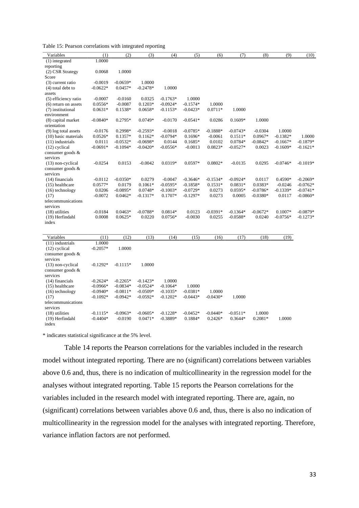Table 15: Pearson correlations with integrated reporting

| Variables                           | (1)                      | (2)        | (3)                     | (4)        | (5)                   | (6)                     | (7)                   | (8)               | (9)        | (10)       |
|-------------------------------------|--------------------------|------------|-------------------------|------------|-----------------------|-------------------------|-----------------------|-------------------|------------|------------|
| (1) integrated                      | 1.0000                   |            |                         |            |                       |                         |                       |                   |            |            |
| reporting                           |                          |            |                         |            |                       |                         |                       |                   |            |            |
| (2) CSR Strategy                    | 0.0068                   | 1.0000     |                         |            |                       |                         |                       |                   |            |            |
| Score                               |                          |            |                         |            |                       |                         |                       |                   |            |            |
| (3) current ratio                   | $-0.0019$                | $-0.0659*$ | 1.0000                  |            |                       |                         |                       |                   |            |            |
| $(4)$ total debt to                 | $-0.0622*$               | $0.0457*$  | $-0.2478*$              | 1.0000     |                       |                         |                       |                   |            |            |
| assets                              |                          |            |                         |            |                       |                         |                       |                   |            |            |
| (5) efficiency ratio                | $-0.0007$                | $-0.0160$  | 0.0325                  | $-0.1763*$ | 1.0000                |                         |                       |                   |            |            |
| $(6)$ return on assets              | $0.0556*$                | $-0.0087$  | $0.1203*$               | $-0.0924*$ | $-0.1574*$            | 1.0000                  |                       |                   |            |            |
| (7) institutional                   | $0.0631*$                | 0.1538*    | $0.0658*$               | $-0.1153*$ | $-0.0423*$            | $0.0711*$               | 1.0000                |                   |            |            |
| environment                         |                          |            |                         |            |                       |                         |                       |                   |            |            |
| (8) capital market                  | $-0.0840*$               | $0.2795*$  | $0.0749*$               | $-0.0170$  | $-0.0541*$            | 0.0286                  | $0.1609*$             | 1.0000            |            |            |
| orientation                         |                          |            |                         |            |                       |                         |                       |                   |            |            |
| $(9)$ log total assets              | $-0.0176$                | 0.2998*    | $-0.2593*$              | $-0.0018$  | $-0.0785*$            | $-0.1888*$              | $-0.0743*$            | $-0.0304$         | 1.0000     |            |
| (10) basic materials                | $0.0526*$                | $0.1357*$  | $0.1162*$               | $-0.0794*$ | $0.1696*$             | $-0.0061$               | $0.1511*$             | 0.0967*           | $-0.1382*$ | 1.0000     |
| $(11)$ industrials                  | 0.0111                   | $-0.0532*$ | $-0.0698*$              | 0.0144     | $0.1685*$             | 0.0102                  | $0.0784*$             | $-0.0842*$        | $-0.1667*$ | $-0.1879*$ |
| $(12)$ cyclical                     | $-0.0691*$               | $-0.1094*$ | $-0.0420*$              | $-0.0556*$ | $-0.0013$             | $0.0823*$               | $-0.0527*$            | 0.0023            | $-0.1609*$ | $-0.1621*$ |
| consumer goods &                    |                          |            |                         |            |                       |                         |                       |                   |            |            |
| services                            |                          |            |                         |            |                       |                         |                       |                   |            |            |
| $(13)$ non-cyclical                 | $-0.0254$                | 0.0153     | $-0.0042$               | 0.0319*    | 0.0597*               | 0.0802*                 | $-0.0135$             | 0.0295            | $-0.0746*$ | $-0.1019*$ |
| consumer goods &                    |                          |            |                         |            |                       |                         |                       |                   |            |            |
| services                            |                          |            |                         |            |                       |                         |                       |                   |            |            |
| (14) financials                     | $-0.0112$                | $-0.0350*$ | 0.0279                  | $-0.0047$  | $-0.3646*$            | $-0.1534*$              | $-0.0924*$            | 0.0117            | 0.4590*    | $-0.2069*$ |
| $(15)$ healthcare                   | 0.0577*                  | 0.0179     | $0.1061*$               | $-0.0595*$ | $-0.1858*$            | $0.1531*$               | $0.0831*$             | 0.0383*           | $-0.0246$  | $-0.0762*$ |
| $(16)$ technology                   | 0.0206                   | $-0.0895*$ | 0.0748*                 | $-0.1003*$ | $-0.0729*$            | 0.0273                  | $0.0595*$             | $-0.0786*$        | $-0.1339*$ | $-0.0741*$ |
| (17)                                | $-0.0072$                | $0.0462*$  | $-0.1317*$              | $0.1707*$  | $-0.1297*$            | 0.0273                  | 0.0005                | $-0.0380*$        | 0.0117     | $-0.0860*$ |
| telecommunications                  |                          |            |                         |            |                       |                         |                       |                   |            |            |
| services                            |                          |            |                         |            |                       |                         |                       |                   |            |            |
| $(18)$ utilities                    | $-0.0184$                | $0.0463*$  | $-0.0788*$              | $0.0814*$  | 0.0123                | $-0.0391*$              | $-0.1364*$            | $-0.0672*$        | $0.1007*$  | $-0.0879*$ |
| (19) Herfindahl                     | 0.0008                   | $0.0625*$  | 0.0220                  | $0.0756*$  | $-0.0030$             | 0.0255                  | $-0.0588*$            | 0.0240            | $-0.0756*$ | $-0.1273*$ |
| index                               |                          |            |                         |            |                       |                         |                       |                   |            |            |
|                                     |                          |            |                         |            |                       |                         |                       |                   |            |            |
| Variables                           | (11)                     | (12)       | (13)                    | (14)       | (15)                  | (16)                    | (17)                  | (18)              | (19)       |            |
| (11) industrials                    | 1.0000                   |            |                         |            |                       |                         |                       |                   |            |            |
| $(12)$ cyclical                     | $-0.2057*$               | 1.0000     |                         |            |                       |                         |                       |                   |            |            |
| consumer goods &                    |                          |            |                         |            |                       |                         |                       |                   |            |            |
| services                            |                          |            |                         |            |                       |                         |                       |                   |            |            |
| $(13)$ non-cyclical                 | $-0.1292*$               | $-0.1115*$ | 1.0000                  |            |                       |                         |                       |                   |            |            |
| consumer goods &                    |                          |            |                         |            |                       |                         |                       |                   |            |            |
| services                            |                          |            |                         |            |                       |                         |                       |                   |            |            |
| $(14)$ financials                   | $-0.2624*$               | $-0.2265*$ | $-0.1423*$              | 1.0000     |                       |                         |                       |                   |            |            |
|                                     | $-0.0966*$               | $-0.0834*$ | $-0.0524*$              | $-0.1064*$ | 1.0000                |                         |                       |                   |            |            |
| $(15)$ healthcare                   | $-0.0940*$               | $-0.0811*$ | $-0.0509*$              | $-0.1035*$ | $-0.0381*$            | 1.0000                  |                       |                   |            |            |
| $(16)$ technology                   |                          |            |                         |            |                       |                         |                       |                   |            |            |
| (17)                                | $-0.1092*$               | $-0.0942*$ | $-0.0592*$              | $-0.1202*$ | $-0.0443*$            | $-0.0430*$              | 1.0000                |                   |            |            |
| telecommunications                  |                          |            |                         |            |                       |                         |                       |                   |            |            |
| services                            |                          | $-0.0963*$ |                         | $-0.1228*$ |                       |                         |                       |                   |            |            |
| $(18)$ utilities<br>(19) Herfindahl | $-0.1115*$<br>$-0.4404*$ | $-0.0190$  | $-0.0605*$<br>$0.0471*$ | $-0.3889*$ | $-0.0452*$<br>0.1884* | $-0.0440*$<br>$0.2426*$ | $-0.0511*$<br>0.3644* | 1.0000<br>0.2081* | 1.0000     |            |
| index                               |                          |            |                         |            |                       |                         |                       |                   |            |            |
|                                     |                          |            |                         |            |                       |                         |                       |                   |            |            |

\* indicates statistical significance at the 5% level.

Table 14 reports the Pearson correlations for the variables included in the research model without integrated reporting. There are no (significant) correlations between variables above 0.6 and, thus, there is no indication of multicollinearity in the regression model for the analyses without integrated reporting. Table 15 reports the Pearson correlations for the variables included in the research model with integrated reporting. There are, again, no (significant) correlations between variables above 0.6 and, thus, there is also no indication of multicollinearity in the regression model for the analyses with integrated reporting. Therefore, variance inflation factors are not performed.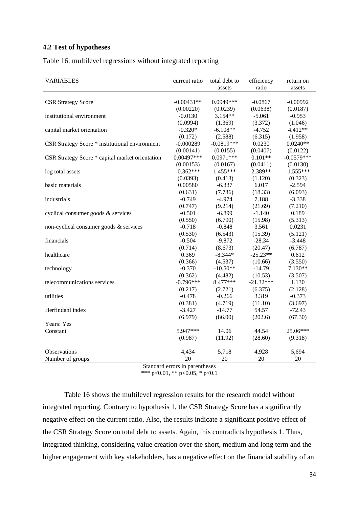#### **4.2 Test of hypotheses**

Table 16: multilevel regressions without integrated reporting

| <b>VARIABLES</b>                                | current ratio | total debt to<br>assets | efficiency<br>ratio | return on<br>assets |
|-------------------------------------------------|---------------|-------------------------|---------------------|---------------------|
|                                                 |               |                         |                     |                     |
| <b>CSR Strategy Score</b>                       | $-0.00431**$  | 0.0949***               | $-0.0867$           | $-0.00992$          |
|                                                 | (0.00220)     | (0.0239)                | (0.0638)            | (0.0187)            |
| institutional environment                       | $-0.0130$     | $3.154**$               | $-5.061$            | $-0.953$            |
|                                                 | (0.0994)      | (1.369)                 | (3.372)             | (1.046)             |
| capital market orientation                      | $-0.320*$     | $-6.108**$              | $-4.752$            | 4.412**             |
|                                                 | (0.172)       | (2.588)                 | (6.315)             | (1.958)             |
| CSR Strategy Score * institutional environment  | $-0.000289$   | $-0.0819***$            | 0.0230              | $0.0240**$          |
|                                                 | (0.00141)     | (0.0155)                | (0.0407)            | (0.0122)            |
| CSR Strategy Score * capital market orientation | $0.00497***$  | $0.0971***$             | $0.101**$           | $-0.0579***$        |
|                                                 | (0.00153)     | (0.0167)                | (0.0411)            | (0.0130)            |
| log total assets                                | $-0.362***$   | 1.455***                | 2.389**             | $-1.555***$         |
|                                                 | (0.0393)      | (0.413)                 | (1.120)             | (0.323)             |
| basic materials                                 | 0.00580       | $-6.337$                | 6.017               | $-2.594$            |
|                                                 | (0.631)       | (7.786)                 | (18.33)             | (6.093)             |
| industrials                                     | $-0.749$      | $-4.974$                | 7.188               | $-3.338$            |
|                                                 | (0.747)       | (9.214)                 | (21.69)             | (7.210)             |
| cyclical consumer goods & services              | $-0.501$      | $-6.899$                | $-1.140$            | 0.189               |
|                                                 | (0.550)       | (6.790)                 | (15.98)             | (5.313)             |
| non-cyclical consumer goods & services          | $-0.718$      | $-0.848$                | 3.561               | 0.0231              |
|                                                 | (0.530)       | (6.543)                 | (15.39)             | (5.121)             |
| financials                                      | $-0.504$      | $-9.872$                | $-28.34$            | $-3.448$            |
|                                                 | (0.714)       | (8.673)                 | (20.47)             | (6.787)             |
| healthcare                                      | 0.369         | $-8.344*$               | $-25.23**$          | 0.612               |
|                                                 | (0.366)       | (4.537)                 | (10.66)             | (3.550)             |
| technology                                      | $-0.370$      | $-10.50**$              | $-14.79$            | 7.130**             |
|                                                 | (0.362)       | (4.482)                 | (10.53)             | (3.507)             |
| telecommunications services                     | $-0.796***$   | 8.477***                | $-21.32***$         | 1.130               |
|                                                 | (0.217)       | (2.721)                 | (6.375)             | (2.128)             |
| utilities                                       | $-0.478$      | $-0.266$                | 3.319               | $-0.373$            |
|                                                 | (0.381)       | (4.719)                 | (11.10)             | (3.697)             |
| Herfindahl index                                | $-3.427$      | $-14.77$                | 54.57               | $-72.43$            |
|                                                 | (6.979)       | (86.00)                 | (202.6)             | (67.30)             |
| Years: Yes                                      |               |                         |                     |                     |
| Constant                                        | 5.947***      | 14.06                   | 44.54               | 25.06***            |
|                                                 | (0.987)       | (11.92)                 | (28.60)             | (9.318)             |
| Observations                                    |               |                         |                     |                     |
| Number of groups                                | 4,434<br>20   | 5,718<br>20             | 4,928<br>20         | 5,694<br>20         |
|                                                 |               |                         |                     |                     |

Standard errors in parentheses

\*\*\* p<0.01, \*\* p<0.05, \* p<0.1

Table 16 shows the multilevel regression results for the research model without integrated reporting. Contrary to hypothesis 1, the CSR Strategy Score has a significantly negative effect on the current ratio. Also, the results indicate a significant positive effect of the CSR Strategy Score on total debt to assets. Again, this contradicts hypothesis 1. Thus, integrated thinking, considering value creation over the short, medium and long term and the higher engagement with key stakeholders, has a negative effect on the financial stability of an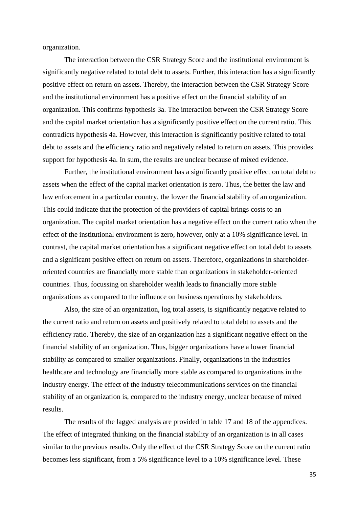organization.

The interaction between the CSR Strategy Score and the institutional environment is significantly negative related to total debt to assets. Further, this interaction has a significantly positive effect on return on assets. Thereby, the interaction between the CSR Strategy Score and the institutional environment has a positive effect on the financial stability of an organization. This confirms hypothesis 3a. The interaction between the CSR Strategy Score and the capital market orientation has a significantly positive effect on the current ratio. This contradicts hypothesis 4a. However, this interaction is significantly positive related to total debt to assets and the efficiency ratio and negatively related to return on assets. This provides support for hypothesis 4a. In sum, the results are unclear because of mixed evidence.

Further, the institutional environment has a significantly positive effect on total debt to assets when the effect of the capital market orientation is zero. Thus, the better the law and law enforcement in a particular country, the lower the financial stability of an organization. This could indicate that the protection of the providers of capital brings costs to an organization. The capital market orientation has a negative effect on the current ratio when the effect of the institutional environment is zero, however, only at a 10% significance level. In contrast, the capital market orientation has a significant negative effect on total debt to assets and a significant positive effect on return on assets. Therefore, organizations in shareholderoriented countries are financially more stable than organizations in stakeholder-oriented countries. Thus, focussing on shareholder wealth leads to financially more stable organizations as compared to the influence on business operations by stakeholders.

Also, the size of an organization, log total assets, is significantly negative related to the current ratio and return on assets and positively related to total debt to assets and the efficiency ratio. Thereby, the size of an organization has a significant negative effect on the financial stability of an organization. Thus, bigger organizations have a lower financial stability as compared to smaller organizations. Finally, organizations in the industries healthcare and technology are financially more stable as compared to organizations in the industry energy. The effect of the industry telecommunications services on the financial stability of an organization is, compared to the industry energy, unclear because of mixed results.

The results of the lagged analysis are provided in table 17 and 18 of the appendices. The effect of integrated thinking on the financial stability of an organization is in all cases similar to the previous results. Only the effect of the CSR Strategy Score on the current ratio becomes less significant, from a 5% significance level to a 10% significance level. These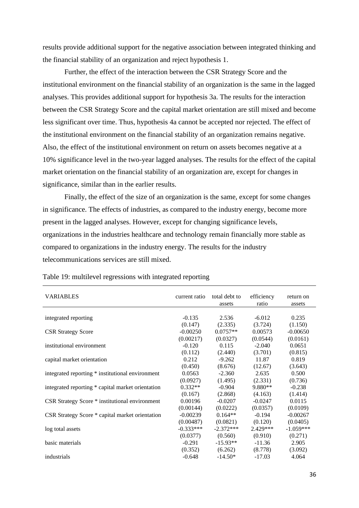results provide additional support for the negative association between integrated thinking and the financial stability of an organization and reject hypothesis 1.

Further, the effect of the interaction between the CSR Strategy Score and the institutional environment on the financial stability of an organization is the same in the lagged analyses. This provides additional support for hypothesis 3a. The results for the interaction between the CSR Strategy Score and the capital market orientation are still mixed and become less significant over time. Thus, hypothesis 4a cannot be accepted nor rejected. The effect of the institutional environment on the financial stability of an organization remains negative. Also, the effect of the institutional environment on return on assets becomes negative at a 10% significance level in the two-year lagged analyses. The results for the effect of the capital market orientation on the financial stability of an organization are, except for changes in significance, similar than in the earlier results.

Finally, the effect of the size of an organization is the same, except for some changes in significance. The effects of industries, as compared to the industry energy, become more present in the lagged analyses. However, except for changing significance levels, organizations in the industries healthcare and technology remain financially more stable as compared to organizations in the industry energy. The results for the industry telecommunications services are still mixed.

| <b>VARIABLES</b>                                  | current ratio | total debt to<br>assets | efficiency<br>ratio | return on<br>assets |
|---------------------------------------------------|---------------|-------------------------|---------------------|---------------------|
|                                                   |               |                         |                     |                     |
| integrated reporting                              | $-0.135$      | 2.536                   | $-6.012$            | 0.235               |
|                                                   | (0.147)       | (2.335)                 | (3.724)             | (1.150)             |
| <b>CSR Strategy Score</b>                         | $-0.00250$    | $0.0757**$              | 0.00573             | $-0.00650$          |
|                                                   | (0.00217)     | (0.0327)                | (0.0544)            | (0.0161)            |
| institutional environment                         | $-0.120$      | 0.115                   | $-2.040$            | 0.0651              |
|                                                   | (0.112)       | (2.440)                 | (3.701)             | (0.815)             |
| capital market orientation                        | 0.212         | $-9.262$                | 11.87               | 0.819               |
|                                                   | (0.450)       | (8.676)                 | (12.67)             | (3.643)             |
| integrated reporting * institutional environment  | 0.0563        | $-2.360$                | 2.635               | 0.500               |
|                                                   | (0.0927)      | (1.495)                 | (2.331)             | (0.736)             |
| integrated reporting * capital market orientation | $0.332**$     | $-0.904$                | $9.880**$           | $-0.238$            |
|                                                   | (0.167)       | (2.868)                 | (4.163)             | (1.414)             |
| CSR Strategy Score * institutional environment    | 0.00196       | $-0.0207$               | $-0.0247$           | 0.0115              |
|                                                   | (0.00144)     | (0.0222)                | (0.0357)            | (0.0109)            |
| CSR Strategy Score * capital market orientation   | $-0.00239$    | $0.164**$               | $-0.194$            | $-0.00267$          |
|                                                   | (0.00487)     | (0.0821)                | (0.120)             | (0.0405)            |
| log total assets                                  | $-0.333***$   | $-2.372***$             | $2.429***$          | $-1.059***$         |
|                                                   | (0.0377)      | (0.560)                 | (0.910)             | (0.271)             |
| basic materials                                   | $-0.291$      | $-15.93**$              | $-11.36$            | 2.905               |
|                                                   | (0.352)       | (6.262)                 | (8.778)             | (3.092)             |
| industrials                                       | $-0.648$      | $-14.50*$               | $-17.03$            | 4.064               |

Table 19: multilevel regressions with integrated reporting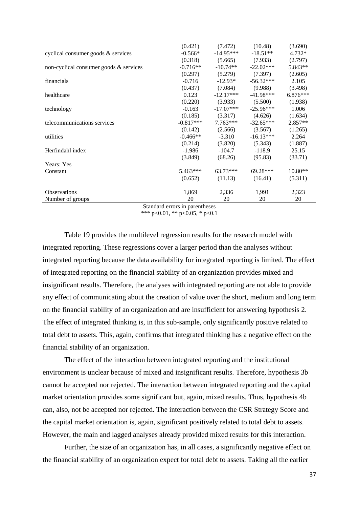|                                        | (0.421)     | (7.472)     | (10.48)     | (3.690)    |
|----------------------------------------|-------------|-------------|-------------|------------|
| cyclical consumer goods $\&$ services  | $-0.566*$   | $-14.95***$ | $-18.51**$  | $4.732*$   |
|                                        | (0.318)     | (5.665)     | (7.933)     | (2.797)    |
| non-cyclical consumer goods & services | $-0.716**$  | $-10.74**$  | $-22.02***$ | 5.843**    |
|                                        | (0.297)     | (5.279)     | (7.397)     | (2.605)    |
| financials                             | $-0.716$    | $-12.93*$   | $-56.32***$ | 2.105      |
|                                        | (0.437)     | (7.084)     | (9.988)     | (3.498)    |
| healthcare                             | 0.123       | $-12.17***$ | $-41.98***$ | $6.876***$ |
|                                        | (0.220)     | (3.933)     | (5.500)     | (1.938)    |
| technology                             | $-0.163$    | $-17.07***$ | $-25.96***$ | 1.006      |
|                                        | (0.185)     | (3.317)     | (4.626)     | (1.634)    |
| telecommunications services            | $-0.817***$ | $7.763***$  | $-32.65***$ | $2.857**$  |
|                                        | (0.142)     | (2.566)     | (3.567)     | (1.265)    |
| utilities                              | $-0.466**$  | $-3.310$    | $-16.13***$ | 2.264      |
|                                        | (0.214)     | (3.820)     | (5.343)     | (1.887)    |
| Herfindahl index                       | $-1.986$    | $-104.7$    | $-118.9$    | 25.15      |
|                                        | (3.849)     | (68.26)     | (95.83)     | (33.71)    |
| Years: Yes                             |             |             |             |            |
| Constant                               | $5.463***$  | $63.73***$  | $69.28***$  | $10.80**$  |
|                                        | (0.652)     | (11.13)     | (16.41)     | (5.311)    |
| <b>Observations</b>                    | 1,869       | 2,336       | 1,991       | 2,323      |
| Number of groups<br>$\sim$             | 20          | 20          | 20          | 20         |

Standard errors in parentheses \*\*\* p<0.01, \*\* p<0.05, \* p<0.1

Table 19 provides the multilevel regression results for the research model with integrated reporting. These regressions cover a larger period than the analyses without integrated reporting because the data availability for integrated reporting is limited. The effect of integrated reporting on the financial stability of an organization provides mixed and insignificant results. Therefore, the analyses with integrated reporting are not able to provide any effect of communicating about the creation of value over the short, medium and long term on the financial stability of an organization and are insufficient for answering hypothesis 2. The effect of integrated thinking is, in this sub-sample, only significantly positive related to total debt to assets. This, again, confirms that integrated thinking has a negative effect on the financial stability of an organization.

The effect of the interaction between integrated reporting and the institutional environment is unclear because of mixed and insignificant results. Therefore, hypothesis 3b cannot be accepted nor rejected. The interaction between integrated reporting and the capital market orientation provides some significant but, again, mixed results. Thus, hypothesis 4b can, also, not be accepted nor rejected. The interaction between the CSR Strategy Score and the capital market orientation is, again, significant positively related to total debt to assets. However, the main and lagged analyses already provided mixed results for this interaction.

Further, the size of an organization has, in all cases, a significantly negative effect on the financial stability of an organization expect for total debt to assets. Taking all the earlier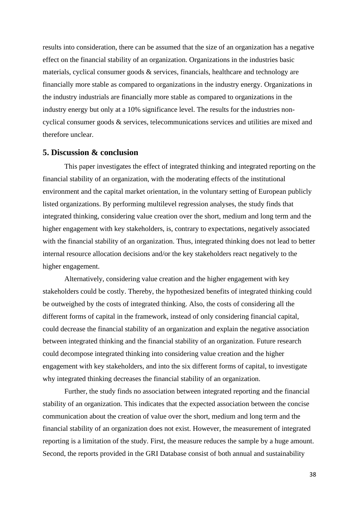results into consideration, there can be assumed that the size of an organization has a negative effect on the financial stability of an organization. Organizations in the industries basic materials, cyclical consumer goods & services, financials, healthcare and technology are financially more stable as compared to organizations in the industry energy. Organizations in the industry industrials are financially more stable as compared to organizations in the industry energy but only at a 10% significance level. The results for the industries noncyclical consumer goods & services, telecommunications services and utilities are mixed and therefore unclear.

#### **5. Discussion & conclusion**

This paper investigates the effect of integrated thinking and integrated reporting on the financial stability of an organization, with the moderating effects of the institutional environment and the capital market orientation, in the voluntary setting of European publicly listed organizations. By performing multilevel regression analyses, the study finds that integrated thinking, considering value creation over the short, medium and long term and the higher engagement with key stakeholders, is, contrary to expectations, negatively associated with the financial stability of an organization. Thus, integrated thinking does not lead to better internal resource allocation decisions and/or the key stakeholders react negatively to the higher engagement.

Alternatively, considering value creation and the higher engagement with key stakeholders could be costly. Thereby, the hypothesized benefits of integrated thinking could be outweighed by the costs of integrated thinking. Also, the costs of considering all the different forms of capital in the framework, instead of only considering financial capital, could decrease the financial stability of an organization and explain the negative association between integrated thinking and the financial stability of an organization. Future research could decompose integrated thinking into considering value creation and the higher engagement with key stakeholders, and into the six different forms of capital, to investigate why integrated thinking decreases the financial stability of an organization.

Further, the study finds no association between integrated reporting and the financial stability of an organization. This indicates that the expected association between the concise communication about the creation of value over the short, medium and long term and the financial stability of an organization does not exist. However, the measurement of integrated reporting is a limitation of the study. First, the measure reduces the sample by a huge amount. Second, the reports provided in the GRI Database consist of both annual and sustainability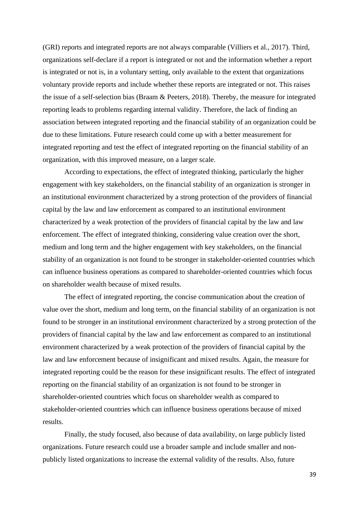(GRI) reports and integrated reports are not always comparable (Villiers et al., 2017). Third, organizations self-declare if a report is integrated or not and the information whether a report is integrated or not is, in a voluntary setting, only available to the extent that organizations voluntary provide reports and include whether these reports are integrated or not. This raises the issue of a self-selection bias (Braam & Peeters, 2018). Thereby, the measure for integrated reporting leads to problems regarding internal validity. Therefore, the lack of finding an association between integrated reporting and the financial stability of an organization could be due to these limitations. Future research could come up with a better measurement for integrated reporting and test the effect of integrated reporting on the financial stability of an organization, with this improved measure, on a larger scale.

According to expectations, the effect of integrated thinking, particularly the higher engagement with key stakeholders, on the financial stability of an organization is stronger in an institutional environment characterized by a strong protection of the providers of financial capital by the law and law enforcement as compared to an institutional environment characterized by a weak protection of the providers of financial capital by the law and law enforcement. The effect of integrated thinking, considering value creation over the short, medium and long term and the higher engagement with key stakeholders, on the financial stability of an organization is not found to be stronger in stakeholder-oriented countries which can influence business operations as compared to shareholder-oriented countries which focus on shareholder wealth because of mixed results.

The effect of integrated reporting, the concise communication about the creation of value over the short, medium and long term, on the financial stability of an organization is not found to be stronger in an institutional environment characterized by a strong protection of the providers of financial capital by the law and law enforcement as compared to an institutional environment characterized by a weak protection of the providers of financial capital by the law and law enforcement because of insignificant and mixed results. Again, the measure for integrated reporting could be the reason for these insignificant results. The effect of integrated reporting on the financial stability of an organization is not found to be stronger in shareholder-oriented countries which focus on shareholder wealth as compared to stakeholder-oriented countries which can influence business operations because of mixed results.

Finally, the study focused, also because of data availability, on large publicly listed organizations. Future research could use a broader sample and include smaller and nonpublicly listed organizations to increase the external validity of the results. Also, future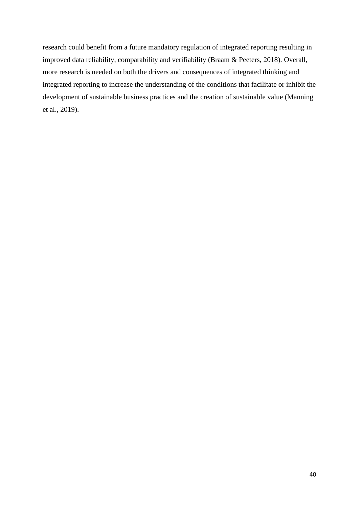research could benefit from a future mandatory regulation of integrated reporting resulting in improved data reliability, comparability and verifiability (Braam & Peeters, 2018). Overall, more research is needed on both the drivers and consequences of integrated thinking and integrated reporting to increase the understanding of the conditions that facilitate or inhibit the development of sustainable business practices and the creation of sustainable value (Manning et al., 2019).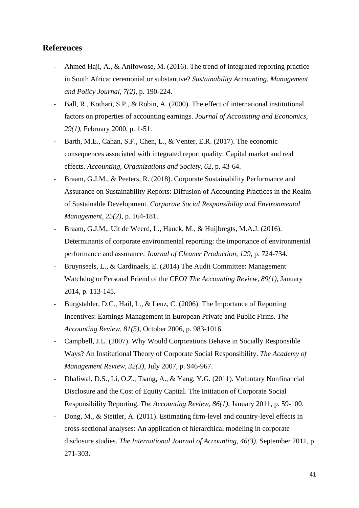### **References**

- Ahmed Haji, A., & Anifowose, M. (2016). The trend of integrated reporting practice in South Africa: ceremonial or substantive? *Sustainability Accounting, Management and Policy Journal, 7(2),* p. 190-224.
- Ball, R., Kothari, S.P., & Robin, A. (2000). The effect of international institutional factors on properties of accounting earnings. *Journal of Accounting and Economics, 29(1),* February 2000, p. 1-51.
- Barth, M.E., Cahan, S.F., Chen, L., & Venter, E.R. (2017). The economic consequences associated with integrated report quality: Capital market and real effects. *Accounting, Organizations and Society, 62,* p. 43-64.
- Braam, G.J.M., & Peeters, R. (2018). Corporate Sustainability Performance and Assurance on Sustainability Reports: Diffusion of Accounting Practices in the Realm of Sustainable Development. *Corporate Social Responsibility and Environmental Management, 25(2)*, p. 164-181.
- Braam, G.J.M., Uit de Weerd, L., Hauck, M., & Huijbregts, M.A.J. (2016). Determinants of corporate environmental reporting: the importance of environmental performance and assurance. *Journal of Cleaner Production, 129,* p. 724-734.
- Bruynseels, L., & Cardinaels, E. (2014) The Audit Committee: Management Watchdog or Personal Friend of the CEO? *The Accounting Review, 89(1)*, January 2014, p. 113-145.
- Burgstahler, D.C., Hail, L., & Leuz, C. (2006). The Importance of Reporting Incentives: Earnings Management in European Private and Public Firms. *The Accounting Review, 81(5),* October 2006, p. 983-1016.
- Campbell, J.L. (2007). Why Would Corporations Behave in Socially Responsible Ways? An Institutional Theory of Corporate Social Responsibility. *The Academy of Management Review, 32(3)*, July 2007, p. 946-967.
- Dhaliwal, D.S., Li, O.Z., Tsang, A., & Yang, Y.G. (2011). Voluntary Nonfinancial Disclosure and the Cost of Equity Capital. The Initiation of Corporate Social Responsibility Reporting. *The Accounting Review, 86(1),* January 2011*,* p. 59-100.
- Dong, M., & Stettler, A. (2011). Estimating firm-level and country-level effects in cross-sectional analyses: An application of hierarchical modeling in corporate disclosure studies. *The International Journal of Accounting, 46(3),* September 2011, p. 271-303.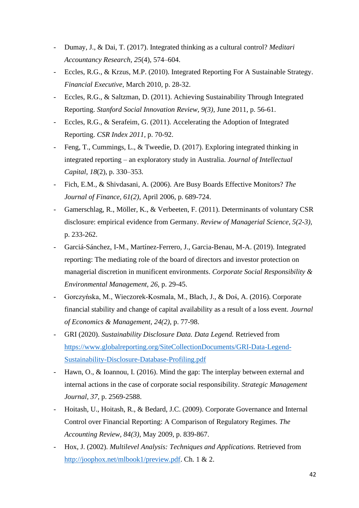- Dumay, J., & Dai, T. (2017). Integrated thinking as a cultural control? *Meditari Accountancy Research*, *25*(4), 574–604.
- Eccles, R.G., & Krzus, M.P. (2010). Integrated Reporting For A Sustainable Strategy. *Financial Executive,* March 2010, p. 28-32.
- Eccles, R.G., & Saltzman, D. (2011). Achieving Sustainability Through Integrated Reporting. *Stanford Social Innovation Review, 9(3),* June 2011, p. 56-61.
- Eccles, R.G., & Serafeim, G. (2011). Accelerating the Adoption of Integrated Reporting. *CSR Index 2011,* p. 70-92.
- Feng, T., Cummings, L., & Tweedie, D. (2017). Exploring integrated thinking in integrated reporting – an exploratory study in Australia. *Journal of Intellectual Capital*, *18*(2), p. 330–353.
- Fich, E.M., & Shivdasani, A. (2006). Are Busy Boards Effective Monitors? *The Journal of Finance, 61(2),* April 2006, p. 689-724.
- Gamerschlag, R., Möller, K., & Verbeeten, F. (2011). Determinants of voluntary CSR disclosure: empirical evidence from Germany. *Review of Managerial Science, 5(2-3),*  p. 233-262.
- Garciá-Sánchez, I-M., Martínez-Ferrero, J., Garcia-Benau, M-A. (2019). Integrated reporting: The mediating role of the board of directors and investor protection on managerial discretion in munificent environments. *Corporate Social Responsibility & Environmental Management, 26,* p. 29-45.
- Gorczyńska, M., Wieczorek-Kosmala, M., Błach, J., & Doś, A. (2016). Corporate financial stability and change of capital availability as a result of a loss event. *Journal of Economics & Management, 24(2),* p. 77-98.
- GRI (2020). *Sustainability Disclosure Data. Data Legend.* Retrieved from [https://www.globalreporting.org/SiteCollectionDocuments/GRI-Data-Legend-](https://www.globalreporting.org/SiteCollectionDocuments/GRI-Data-Legend-Sustainability-Disclosure-Database-Profiling.pdf)[Sustainability-Disclosure-Database-Profiling.pdf](https://www.globalreporting.org/SiteCollectionDocuments/GRI-Data-Legend-Sustainability-Disclosure-Database-Profiling.pdf)
- Hawn, O., & Ioannou, I. (2016). Mind the gap: The interplay between external and internal actions in the case of corporate social responsibility. *Strategic Management Journal, 37,* p. 2569-2588.
- Hoitash, U., Hoitash, R., & Bedard, J.C. (2009). Corporate Governance and Internal Control over Financial Reporting: A Comparison of Regulatory Regimes. *The Accounting Review, 84(3)*, May 2009, p. 839-867.
- Hox, J. (2002). *Multilevel Analysis: Techniques and Applications.* Retrieved from [http://joophox.net/mlbook1/preview.pdf.](http://joophox.net/mlbook1/preview.pdf) Ch. 1 & 2.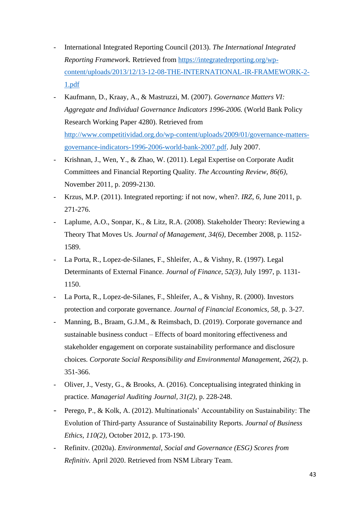- International Integrated Reporting Council (2013). *The International Integrated Reporting Framework.* Retrieved from [https://integratedreporting.org/wp](https://integratedreporting.org/wp-content/uploads/2013/12/13-12-08-THE-INTERNATIONAL-IR-FRAMEWORK-2-1.pdf)[content/uploads/2013/12/13-12-08-THE-INTERNATIONAL-IR-FRAMEWORK-2-](https://integratedreporting.org/wp-content/uploads/2013/12/13-12-08-THE-INTERNATIONAL-IR-FRAMEWORK-2-1.pdf) [1.pdf](https://integratedreporting.org/wp-content/uploads/2013/12/13-12-08-THE-INTERNATIONAL-IR-FRAMEWORK-2-1.pdf)
- Kaufmann, D., Kraay, A., & Mastruzzi, M. (2007). *Governance Matters VI: Aggregate and Individual Governance Indicators 1996-2006.* (World Bank Policy Research Working Paper 4280). Retrieved from [http://www.competitividad.org.do/wp-content/uploads/2009/01/governance-matters](http://www.competitividad.org.do/wp-content/uploads/2009/01/governance-matters-governance-indicators-1996-2006-world-bank-2007.pdf)[governance-indicators-1996-2006-world-bank-2007.pdf.](http://www.competitividad.org.do/wp-content/uploads/2009/01/governance-matters-governance-indicators-1996-2006-world-bank-2007.pdf) July 2007.
- Krishnan, J., Wen, Y., & Zhao, W. (2011). Legal Expertise on Corporate Audit Committees and Financial Reporting Quality. *The Accounting Review, 86(6),*  November 2011, p. 2099-2130.
- Krzus, M.P. (2011). Integrated reporting: if not now, when?. *IRZ, 6,* June 2011, p. 271-276.
- Laplume, A.O., Sonpar, K., & Litz, R.A. (2008). Stakeholder Theory: Reviewing a Theory That Moves Us. *Journal of Management, 34(6),* December 2008, p. 1152- 1589.
- La Porta, R., Lopez-de-Silanes, F., Shleifer, A., & Vishny, R. (1997). Legal Determinants of External Finance. *Journal of Finance, 52(3),* July 1997, p. 1131- 1150.
- La Porta, R., Lopez-de-Silanes, F., Shleifer, A., & Vishny, R. (2000). Investors protection and corporate governance. *Journal of Financial Economics, 58,* p. 3-27.
- Manning, B., Braam, G.J.M., & Reimsbach, D. (2019). Corporate governance and sustainable business conduct – Effects of board monitoring effectiveness and stakeholder engagement on corporate sustainability performance and disclosure choices. *Corporate Social Responsibility and Environmental Management, 26(2),* p. 351-366.
- Oliver, J., Vesty, G., & Brooks, A. (2016). Conceptualising integrated thinking in practice. *Managerial Auditing Journal, 31(2),* p. 228-248.
- Perego, P., & Kolk, A. (2012). Multinationals' Accountability on Sustainability: The Evolution of Third-party Assurance of Sustainability Reports. *Journal of Business Ethics, 110(2),* October 2012, p. 173-190.
- Refinitv. (2020a). *Environmental, Social and Governance (ESG) Scores from Refinitiv.* April 2020. Retrieved from NSM Library Team.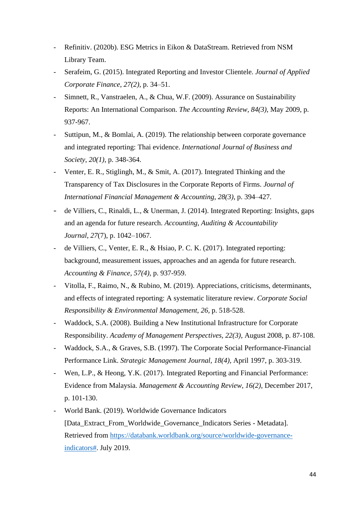- Refinitiv. (2020b). ESG Metrics in Eikon & DataStream. Retrieved from NSM Library Team.
- Serafeim, G. (2015). Integrated Reporting and Investor Clientele. *Journal of Applied Corporate Finance*, *27(2)*, p. 34–51.
- Simnett, R., Vanstraelen, A., & Chua, W.F. (2009). Assurance on Sustainability Reports: An International Comparison. *The Accounting Review, 84(3)*, May 2009, p. 937-967.
- Suttipun, M., & Bomlai, A. (2019). The relationship between corporate governance and integrated reporting: Thai evidence. *International Journal of Business and Society, 20(1),* p. 348-364.
- Venter, E. R., Stiglingh, M., & Smit, A. (2017). Integrated Thinking and the Transparency of Tax Disclosures in the Corporate Reports of Firms. *Journal of International Financial Management & Accounting*, *28(3)*, p. 394–427.
- de Villiers, C., Rinaldi, L., & Unerman, J. (2014). Integrated Reporting: Insights, gaps and an agenda for future research. *Accounting, Auditing & Accountability Journal*, *27*(7), p. 1042–1067.
- de Villiers, C., Venter, E. R., & Hsiao, P. C. K. (2017). Integrated reporting: background, measurement issues, approaches and an agenda for future research. *Accounting & Finance, 57(4),* p. 937-959.
- Vitolla, F., Raimo, N., & Rubino, M. (2019). Appreciations, criticisms, determinants, and effects of integrated reporting: A systematic literature review. *Corporate Social Responsibility & Environmental Management, 26,* p. 518-528.
- Waddock, S.A. (2008). Building a New Institutional Infrastructure for Corporate Responsibility. *Academy of Management Perspectives, 22(3)*, August 2008, p. 87-108.
- Waddock, S.A., & Graves, S.B. (1997). The Corporate Social Performance-Financial Performance Link. *Strategic Management Journal, 18(4),* April 1997, p. 303-319.
- Wen, L.P., & Heong, Y.K. (2017). Integrated Reporting and Financial Performance: Evidence from Malaysia. *Management & Accounting Review, 16(2),* December 2017, p. 101-130.
- World Bank. (2019). Worldwide Governance Indicators [Data\_Extract\_From\_Worldwide\_Governance\_Indicators Series - Metadata]. Retrieved from [https://databank.worldbank.org/source/worldwide-governance](https://databank.worldbank.org/source/worldwide-governance-indicators)[indicators#.](https://databank.worldbank.org/source/worldwide-governance-indicators) July 2019.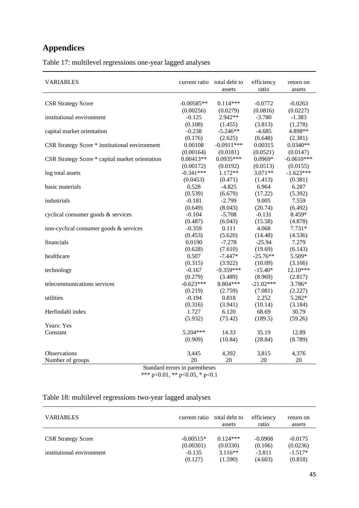# **Appendices**

Table 17: multilevel regressions one-year lagged analyses

| <b>VARIABLES</b>                                | current ratio                  | total debt to<br>assets | efficiency<br>ratio | return on<br>assets |
|-------------------------------------------------|--------------------------------|-------------------------|---------------------|---------------------|
|                                                 |                                |                         |                     |                     |
| <b>CSR Strategy Score</b>                       | $-0.00585**$                   | $0.114***$              | $-0.0772$           | $-0.0263$           |
|                                                 | (0.00256)                      | (0.0279)                | (0.0816)            | (0.0227)            |
| institutional environment                       | $-0.125$                       | $2.942**$               | $-3.780$            | $-1.383$            |
|                                                 | (0.108)                        | (1.455)                 | (3.813)             | (1.278)             |
| capital market orientation                      | $-0.238$                       | $-5.246**$              | $-4.685$            | 4.898**             |
|                                                 | (0.176)                        | (2.625)                 | (6.648)             | (2.381)             |
| CSR Strategy Score * institutional environment  | 0.00108                        | $-0.0911***$            | 0.00315             | $0.0340**$          |
|                                                 | (0.00164)                      | (0.0181)                | (0.0521)            | (0.0147)            |
| CSR Strategy Score * capital market orientation | $0.00413**$                    | $0.0935***$             | $0.0969*$           | $-0.0610***$        |
|                                                 | (0.00172)                      | (0.0192)                | (0.0513)            | (0.0155)            |
| log total assets                                | $-0.341***$                    | 1.172**                 | $3.071**$           | $-1.623***$         |
|                                                 | (0.0453)                       | (0.471)                 | (1.413)             | (0.381)             |
| basic materials                                 | 0.528                          | $-4.825$                | 6.964               | 6.287               |
|                                                 | (0.539)                        | (6.679)                 | (17.22)             | (5.392)             |
| industrials                                     | $-0.181$                       | $-2.799$                | 9.005               | 7.559               |
|                                                 | (0.649)                        | (8.043)                 | (20.74)             | (6.492)             |
| cyclical consumer goods & services              | $-0.104$                       | $-5.708$                | $-0.131$            | 8.459*              |
|                                                 | (0.487)                        | (6.043)                 | (15.58)             | (4.878)             |
| non-cyclical consumer goods & services          | $-0.359$                       | 0.111                   | 4.068               | $7.731*$            |
|                                                 | (0.453)                        | (5.620)                 | (14.48)             | (4.536)             |
| financials                                      | 0.0190                         | $-7.278$                | $-25.94$            | 7.279               |
|                                                 | (0.628)                        | (7.610)                 | (19.69)             | (6.143)             |
| healthcare                                      | 0.507                          | $-7.447*$               | $-25.76**$          | 5.509*              |
|                                                 | (0.315)                        | (3.922)                 | (10.09)             | (3.166)             |
| technology                                      | $-0.167$                       | $-9.359***$             | $-15.40*$           | $12.10***$          |
|                                                 | (0.279)                        | (3.489)                 | (8.969)             | (2.817)             |
| telecommunications services                     | $-0.623***$                    | 8.804***                | $-21.02***$         | 3.786*              |
|                                                 | (0.219)                        | (2.759)                 | (7.081)             | (2.227)             |
| utilities                                       | $-0.194$                       | 0.818                   | 2.252               | 5.282*              |
|                                                 | (0.316)                        | (3.941)                 | (10.14)             | (3.184)             |
| Herfindahl index                                | 1.727                          | 6.120                   | 68.69               | 30.79               |
|                                                 | (5.932)                        | (73.42)                 | (189.5)             | (59.26)             |
| Years: Yes                                      |                                |                         |                     |                     |
| Constant                                        | $5.204***$                     | 14.33                   | 35.19               | 12.89               |
|                                                 | (0.909)                        | (10.84)                 | (28.84)             | (8.789)             |
| Observations                                    | 3,445                          | 4,392                   | 3,815               | 4,376               |
| Number of groups                                | 20                             | 20                      | 20                  | 20                  |
|                                                 | Standard errors in parentheses |                         |                     |                     |

\*\*\* p<0.01, \*\* p<0.05, \* p<0.1

## Table 18: multilevel regressions two-year lagged analyses

| <b>VARIABLES</b>          | current ratio                    | total debt to<br>assets          | efficiency<br>ratio            | return on<br>assets              |
|---------------------------|----------------------------------|----------------------------------|--------------------------------|----------------------------------|
| <b>CSR Strategy Score</b> | $-0.00515*$                      | $0.124***$                       | $-0.0908$                      | $-0.0175$                        |
| institutional environment | (0.00301)<br>$-0.135$<br>(0.127) | (0.0330)<br>$3.116**$<br>(1.590) | (0.106)<br>$-3.811$<br>(4.603) | (0.0236)<br>$-1.517*$<br>(0.818) |